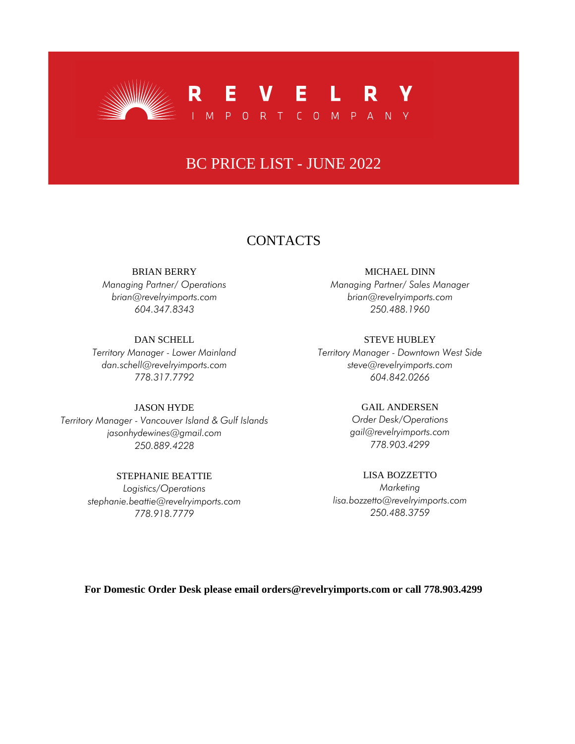

# BC PRICE LIST - JUNE 2022

### **CONTACTS**

#### BRIAN BERRY

*Managing Partner/ Operations brian@revelryimports.com 604.347.8343*

#### DAN SCHELL

*Territory Manager - Lower Mainland dan.schell@revelryimports.com 778.317.7792*

### JASON HYDE

*Territory Manager - Vancouver Island & Gulf Islands jasonhydewines@gmail.com 250.889.4228*

### STEPHANIE BEATTIE

*Logistics/Operations stephanie.beattie@revelryimports.com 778.918.7779*

#### MICHAEL DINN

*Managing Partner/ Sales Manager brian@revelryimports.com 250.488.1960*

#### STEVE HUBLEY

*Territory Manager - Downtown West Side steve@revelryimports.com 604.842.0266*

#### GAIL ANDERSEN

*Order Desk/Operations gail@revelryimports.com 778.903.4299*

### LISA BOZZETTO

*Marketing lisa.bozzetto@revelryimports.com 250.488.3759*

### **For Domestic Order Desk please email orders@revelryimports.com or call 778.903.4299**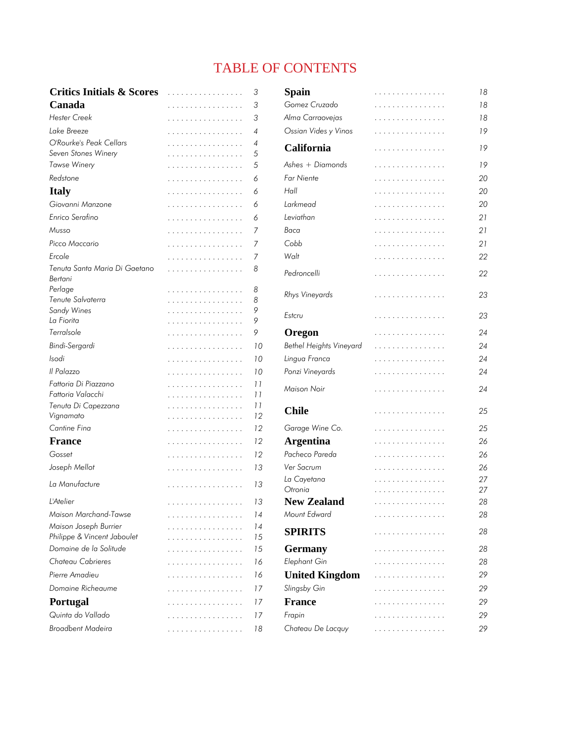### TABLE OF CONTENTS

| <b>Critics Initials &amp; Scores</b>           | .      | 3        | Spain                   | .      | 18       |
|------------------------------------------------|--------|----------|-------------------------|--------|----------|
| Canada                                         | .      | 3        | Gomez Cruzado           | .      | 18       |
| <b>Hester Creek</b>                            | .      | 3        | Alma Carraovejas        | .      | 18       |
| Lake Breeze                                    | .      | 4        | Ossian Vides y Vinos    | .      | 19       |
| O'Rourke's Peak Cellars<br>Seven Stones Winery | .<br>. | 4<br>5   | California              | .      | 19       |
| <b>Tawse Winery</b>                            | .      | 5        | Ashes + Diamonds        | .      | 19       |
| Redstone                                       | .      | 6        | <b>Far Niente</b>       | .      | 20       |
| <b>Italy</b>                                   | .      | 6        | Hall                    | .      | 20       |
| Giovanni Manzone                               | .      | 6        | Larkmead                | .      | 20       |
| Enrico Serafino                                | .      | 6        | Leviathan               | .      | 21       |
| Musso                                          | .      | 7        | Baca                    | .      | 21       |
| Picco Maccario                                 | .      | 7        | Cobb                    | .      | 21       |
| Ercole                                         |        | 7        | Walt                    |        | 22       |
| Tenuta Santa Maria Di Gaetano                  | .<br>. | 8        |                         | .      |          |
| Bertani                                        |        |          | Pedroncelli             | .      | 22       |
| Perlage                                        | .      | 8        |                         |        | 23       |
| Tenute Salvaterra                              | .      | 8        | Rhys Vineyards          | .      |          |
| Sandy Wines                                    | .      | 9        | Estcru                  | .      | 23       |
| La Fiorita                                     | .      | 9        |                         |        |          |
| Terralsole                                     | .      | 9        | Oregon                  | .      | 24       |
| Bindi-Sergardi                                 | .      | 10       | Bethel Heights Vineyard | .      | 24       |
| Isodi                                          | .      | 10       | Lingua Franca           | .      | 24       |
| Il Palazzo                                     | .      | 10       | Ponzi Vineyards         | .      | 24       |
| Fattoria Di Piazzano                           | .      | 11       | Maison Noir             | .      | 24       |
| Fattoria Valacchi                              | .      | 11       |                         |        |          |
| Tenuta Di Capezzana                            | .      | 11<br>12 | <b>Chile</b>            | .      | 25       |
| Vignamato<br>Cantine Fina                      | .      | 12       |                         |        |          |
|                                                | .      |          | Garage Wine Co.         | .      | 25       |
| <b>France</b>                                  | .      | 12       | <b>Argentina</b>        | .      | 26       |
| Gosset                                         | .      | 12       | Pacheco Pareda          | .      | 26       |
| Joseph Mellot                                  | .      | 13       | Ver Sacrum              | .      | 26       |
| La Manufacture                                 | .      | 13       | La Cayetana<br>Otronia  | .<br>. | 27<br>27 |
| L'Atelier                                      | .      | 13       | <b>New Zealand</b>      | .      | 28       |
| Maison Marchand-Tawse                          | .      | 14       | Mount Edward            | .      | 28       |
| Maison Joseph Burrier                          | .      | 14       | <b>SPIRITS</b>          | .      | 28       |
| Philippe & Vincent Jaboulet                    | .      | 15       |                         |        |          |
| Domaine de la Solitude                         | .      | 15       | <b>Germany</b>          | .      | 28       |
| Chateau Cabrieres                              | .      | 16       | Elephant Gin            | .      | 28       |
| Pierre Amadieu                                 | .      | 16       | <b>United Kingdom</b>   | .      | 29       |
| Domaine Richeaume                              | .      | 17       | Slingsby Gin            | .      | 29       |
| <b>Portugal</b>                                | .      | 17       | <b>France</b>           | .      | 29       |
| Quinta do Vallado                              | .      | 17       | Frapin                  | .      | 29       |
| <b>Broadbent Madeira</b>                       | .      | 18       | Chateau De Lacquy       | .      | 29       |
|                                                |        |          |                         |        |          |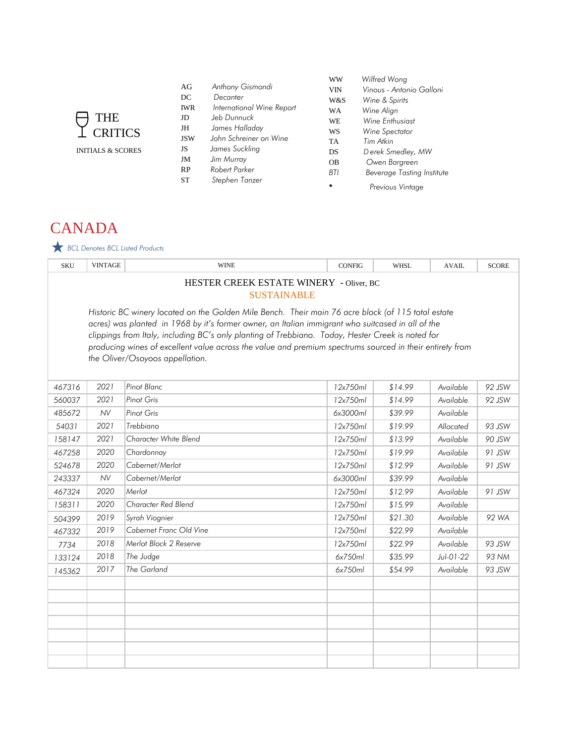| AG<br>DC<br><b>IWR</b><br>JD<br>JH<br><b>JSW</b><br>JS<br>JM<br><b>RP</b> | Anthony Gismondi<br>Decanter<br>International Wine Report<br>Jeb Dunnuck<br>James Halladay<br>John Schreiner on Wine<br>James Suckling<br>Jim Murray<br>Robert Parker | WW<br><b>VIN</b><br>W&S<br><b>WA</b><br>WE.<br>WS<br><b>TA</b><br>DS<br><b>OB</b><br><b>BTI</b> | Wilfred Wong<br>Vinous - Antonio Galloni<br>Wine & Spirits<br>Wine Align<br>Wine Enthusiast<br>Wine Spectator<br>Tim Atkin<br>Derek Smedley, MW<br>Owen Bargreen |
|---------------------------------------------------------------------------|-----------------------------------------------------------------------------------------------------------------------------------------------------------------------|-------------------------------------------------------------------------------------------------|------------------------------------------------------------------------------------------------------------------------------------------------------------------|
| ST                                                                        | Stephen Tanzer                                                                                                                                                        | ÷                                                                                               | <b>Beverage Tasting Institute</b><br>Previous Vintage                                                                                                            |

# **CANADA**

### *BCL Denotes BCL Listed Products*

THE CRITICS INITIALS & SCORES

| <b>SKU</b>                                                                                                                                                                                                                                                                                                                                                                                                                                                  | <b>VINTAGE</b>                                                | <b>WINE</b>             | <b>CONFIG</b> | <b>WHSL</b> | <b>AVAIL</b> | <b>SCORE</b> |  |
|-------------------------------------------------------------------------------------------------------------------------------------------------------------------------------------------------------------------------------------------------------------------------------------------------------------------------------------------------------------------------------------------------------------------------------------------------------------|---------------------------------------------------------------|-------------------------|---------------|-------------|--------------|--------------|--|
|                                                                                                                                                                                                                                                                                                                                                                                                                                                             | HESTER CREEK ESTATE WINERY - Oliver, BC<br><b>SUSTAINABLE</b> |                         |               |             |              |              |  |
| Historic BC winery located on the Golden Mile Bench. Their main 76 acre block (of 115 total estate<br>acres) was planted in 1968 by it's former owner, an Italian immigrant who suitcased in all of the<br>clippings from Italy, including BC's only planting of Trebbiano. Today, Hester Creek is noted for<br>producing wines of excellent value across the value and premium spectrums sourced in their entirety from<br>the Oliver/Osoyoos appellation. |                                                               |                         |               |             |              |              |  |
| 467316                                                                                                                                                                                                                                                                                                                                                                                                                                                      | 2021                                                          | Pinot Blanc             | 12x750ml      | \$14.99     | Available    | 92 JSW       |  |
| 560037                                                                                                                                                                                                                                                                                                                                                                                                                                                      | 2021                                                          | <b>Pinot Gris</b>       | 12x750ml      | \$14.99     | Available    | 92 JSW       |  |
| 485672                                                                                                                                                                                                                                                                                                                                                                                                                                                      | <b>NV</b>                                                     | <b>Pinot Gris</b>       | 6x3000ml      | \$39.99     | Available    |              |  |
| 54031                                                                                                                                                                                                                                                                                                                                                                                                                                                       | 2021                                                          | Trebbiano               | 12x750ml      | \$19.99     | Allocated    | 93 JSW       |  |
| 158147                                                                                                                                                                                                                                                                                                                                                                                                                                                      | 2021                                                          | Character White Blend   | 12x750ml      | \$13.99     | Available    | 90 JSW       |  |
| 467258                                                                                                                                                                                                                                                                                                                                                                                                                                                      | 2020                                                          | Chardonnay              | 12x750ml      | \$19.99     | Available    | 91 JSW       |  |
| 524678                                                                                                                                                                                                                                                                                                                                                                                                                                                      | 2020                                                          | Cabernet/Merlot         | 12x750ml      | \$12.99     | Available    | 91 JSW       |  |
| 243337                                                                                                                                                                                                                                                                                                                                                                                                                                                      | <b>NV</b>                                                     | Cabernet/Merlot         | 6x3000ml      | \$39.99     | Available    |              |  |
| 467324                                                                                                                                                                                                                                                                                                                                                                                                                                                      | 2020                                                          | Merlot                  | 12x750ml      | \$12.99     | Available    | 91 JSW       |  |
| 158311                                                                                                                                                                                                                                                                                                                                                                                                                                                      | 2020                                                          | Character Red Blend     | 12x750ml      | \$15.99     | Available    |              |  |
| 504399                                                                                                                                                                                                                                                                                                                                                                                                                                                      | 2019                                                          | Syrah Viognier          | 12x750ml      | \$21.30     | Available    | 92 WA        |  |
| 467332                                                                                                                                                                                                                                                                                                                                                                                                                                                      | 2019                                                          | Cabernet Franc Old Vine | 12x750ml      | \$22.99     | Available    |              |  |
| 7734                                                                                                                                                                                                                                                                                                                                                                                                                                                        | 2018                                                          | Merlot Block 2 Reserve  | 12x750ml      | \$22.99     | Available    | 93 JSW       |  |
| 133124                                                                                                                                                                                                                                                                                                                                                                                                                                                      | 2018                                                          | The Judge               | 6x750ml       | \$35.99     | Jul-01-22    | 93 NM        |  |
| 145362                                                                                                                                                                                                                                                                                                                                                                                                                                                      | 2017                                                          | The Garland             | 6x750ml       | \$54.99     | Available    | 93 JSW       |  |
|                                                                                                                                                                                                                                                                                                                                                                                                                                                             |                                                               |                         |               |             |              |              |  |
|                                                                                                                                                                                                                                                                                                                                                                                                                                                             |                                                               |                         |               |             |              |              |  |
|                                                                                                                                                                                                                                                                                                                                                                                                                                                             |                                                               |                         |               |             |              |              |  |
|                                                                                                                                                                                                                                                                                                                                                                                                                                                             |                                                               |                         |               |             |              |              |  |
|                                                                                                                                                                                                                                                                                                                                                                                                                                                             |                                                               |                         |               |             |              |              |  |
|                                                                                                                                                                                                                                                                                                                                                                                                                                                             |                                                               |                         |               |             |              |              |  |
|                                                                                                                                                                                                                                                                                                                                                                                                                                                             |                                                               |                         |               |             |              |              |  |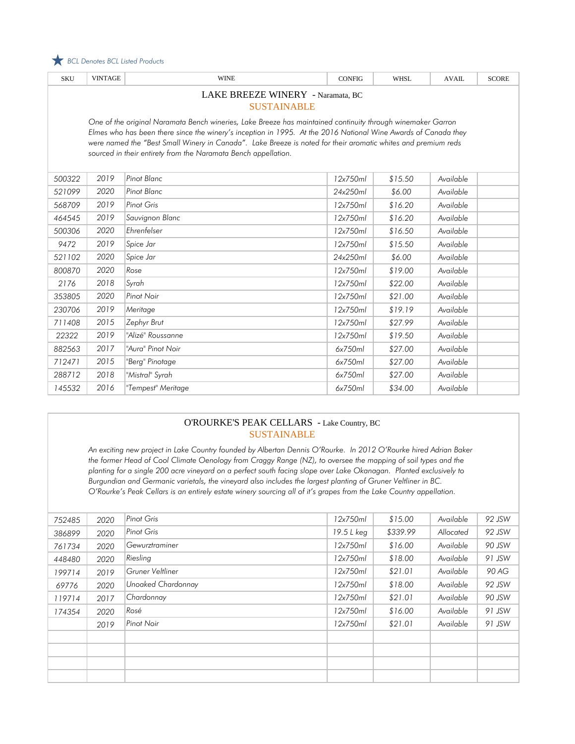

| <b>SKU</b>                                                                                                                                                                                                                                                                                                                                                                                                       | <b>VINTAGE</b>                                          | <b>WINE</b>        | <b>CONFIG</b> | <b>WHSL</b> | <b>AVAIL</b> | <b>SCORE</b> |
|------------------------------------------------------------------------------------------------------------------------------------------------------------------------------------------------------------------------------------------------------------------------------------------------------------------------------------------------------------------------------------------------------------------|---------------------------------------------------------|--------------------|---------------|-------------|--------------|--------------|
|                                                                                                                                                                                                                                                                                                                                                                                                                  | LAKE BREEZE WINERY - Naramata, BC<br><b>SUSTAINABLE</b> |                    |               |             |              |              |
| One of the original Naramata Bench wineries, Lake Breeze has maintained continuity through winemaker Garron<br>Elmes who has been there since the winery's inception in 1995. At the 2016 National Wine Awards of Canada they<br>were named the "Best Small Winery in Canada". Lake Breeze is noted for their aromatic whites and premium reds<br>sourced in their entirety from the Naramata Bench appellation. |                                                         |                    |               |             |              |              |
| 500322                                                                                                                                                                                                                                                                                                                                                                                                           | 2019                                                    | Pinot Blanc        | 12x750ml      | \$15.50     | Available    |              |
| 521099                                                                                                                                                                                                                                                                                                                                                                                                           | 2020                                                    | Pinot Blanc        | 24x250ml      | \$6.00      | Available    |              |
| 568709                                                                                                                                                                                                                                                                                                                                                                                                           | 2019                                                    | <b>Pinot Gris</b>  | 12x750ml      | \$16.20     | Available    |              |
| 464545                                                                                                                                                                                                                                                                                                                                                                                                           | 2019                                                    | Sauvignon Blanc    | 12x750ml      | \$16.20     | Available    |              |
| 500306                                                                                                                                                                                                                                                                                                                                                                                                           | 2020                                                    | Ehrenfelser        | 12x750ml      | \$16.50     | Available    |              |
| 9472                                                                                                                                                                                                                                                                                                                                                                                                             | 2019                                                    | Spice Jar          | 12x750ml      | \$15.50     | Available    |              |
| 521102                                                                                                                                                                                                                                                                                                                                                                                                           | 2020                                                    | Spice Jar          | 24x250ml      | \$6.00      | Available    |              |
| 800870                                                                                                                                                                                                                                                                                                                                                                                                           | 2020                                                    | Rose               | 12x750ml      | \$19.00     | Available    |              |
| 2176                                                                                                                                                                                                                                                                                                                                                                                                             | 2018                                                    | Syrah              | 12x750ml      | \$22.00     | Available    |              |
| 353805                                                                                                                                                                                                                                                                                                                                                                                                           | 2020                                                    | Pinot Noir         | 12x750ml      | \$21.00     | Available    |              |
| 230706                                                                                                                                                                                                                                                                                                                                                                                                           | 2019                                                    | Meritage           | 12x750ml      | \$19.19     | Available    |              |
| 711408                                                                                                                                                                                                                                                                                                                                                                                                           | 2015                                                    | Zephyr Brut        | 12x750ml      | \$27.99     | Available    |              |
| 22322                                                                                                                                                                                                                                                                                                                                                                                                            | 2019                                                    | "Alizé" Roussanne  | 12x750ml      | \$19.50     | Available    |              |
| 882563                                                                                                                                                                                                                                                                                                                                                                                                           | 2017                                                    | "Aura" Pinot Noir  | 6x750ml       | \$27.00     | Available    |              |
| 712471                                                                                                                                                                                                                                                                                                                                                                                                           | 2015                                                    | "Berg" Pinotage    | 6x750ml       | \$27.00     | Available    |              |
| 288712                                                                                                                                                                                                                                                                                                                                                                                                           | 2018                                                    | "Mistral" Syrah    | 6x750ml       | \$27.00     | Available    |              |
| 145532                                                                                                                                                                                                                                                                                                                                                                                                           | 2016                                                    | "Tempest" Meritage | 6x750ml       | \$34.00     | Available    |              |

#### O'ROURKE'S PEAK CELLARS - Lake Country, BC SUSTAINABLE

*An exciting new project in Lake Country founded by Albertan Dennis O'Rourke. In 2012 O'Rourke hired Adrian Baker the former Head of Cool Climate Oenology from Craggy Range (NZ), to oversee the mapping of soil types and the planting for a single 200 acre vineyard on a perfect south facing slope over Lake Okanagan. Planted exclusively to Burgundian and Germanic varietals, the vineyard also includes the largest planting of Gruner Veltliner in BC. O'Rourke's Peak Cellars is an entirely estate winery sourcing all of it's grapes from the Lake Country appellation.*

| 752485 | 2020 | Pinot Gris         | 12x750ml   | \$15.00  | Available | 92 JSW |
|--------|------|--------------------|------------|----------|-----------|--------|
| 386899 | 2020 | Pinot Gris         | 19.5 L keg | \$339.99 | Allocated | 92 JSW |
| 761734 | 2020 | Gewurztraminer     | 12x750ml   | \$16.00  | Available | 90 JSW |
| 448480 | 2020 | Riesling           | 12x750ml   | \$18.00  | Available | 91 JSW |
| 199714 | 2019 | Gruner Veltliner   | 12x750ml   | \$21.01  | Available | 90 AG  |
| 69776  | 2020 | Unoaked Chardonnay | 12x750ml   | \$18.00  | Available | 92 JSW |
| 119714 | 2017 | Chardonnay         | 12x750ml   | \$21.01  | Available | 90 JSW |
| 174354 | 2020 | Rosé               | 12x750ml   | \$16.00  | Available | 91 JSW |
|        | 2019 | Pinot Noir         | 12x750ml   | \$21.01  | Available | 91 JSW |
|        |      |                    |            |          |           |        |
|        |      |                    |            |          |           |        |
|        |      |                    |            |          |           |        |
|        |      |                    |            |          |           |        |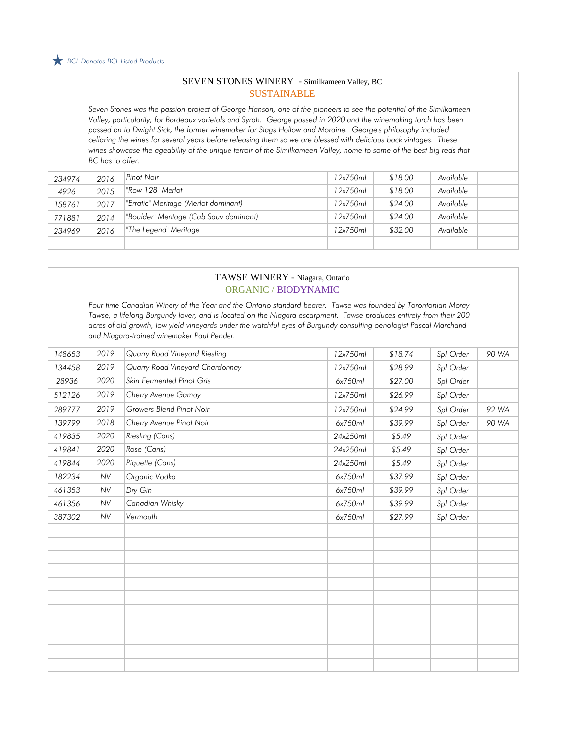#### SEVEN STONES WINERY - Similkameen Valley, BC SUSTAINABLE

*Seven Stones was the passion project of George Hanson, one of the pioneers to see the potential of the Similkameen Valley, particularily, for Bordeaux varietals and Syrah. George passed in 2020 and the winemaking torch has been passed on to Dwight Sick, the former winemaker for Stags Hollow and Moraine. George's philosophy included cellaring the wines for several years before releasing them so we are blessed with delicious back vintages. These wines showcase the ageability of the unique terroir of the Similkameen Valley, home to some of the best big reds that BC has to offer.*

| 234974 | 2016 | Pinot Noir                             | 12x750ml | \$18.00 | Available |  |
|--------|------|----------------------------------------|----------|---------|-----------|--|
| 4926   | 2015 | "Row 128" Merlot                       | 12x750ml | \$18.00 | Available |  |
| 158761 | 2017 | "Erratic" Meritage (Merlot dominant)   | 12x750ml | \$24.00 | Available |  |
| 771881 | 2014 | "Boulder" Meritage (Cab Sauv dominant) | 12x750ml | \$24.00 | Available |  |
| 234969 | 2016 | "The Legend" Meritage                  | 12x750ml | \$32.00 | Available |  |
|        |      |                                        |          |         |           |  |

#### TAWSE WINERY - Niagara, Ontario ORGANIC / BIODYNAMIC

*Four-time Canadian Winery of the Year and the Ontario standard bearer. Tawse was founded by Torontonian Moray Tawse, a lifelong Burgundy lover, and is located on the Niagara escarpment. Tawse produces entirely from their 200 acres of old-growth, low yield vineyards under the watchful eyes of Burgundy consulting oenologist Pascal Marchand and Niagara-trained winemaker Paul Pender.*

| 148653 | 2019      | Quarry Road Vineyard Riesling   | 12x750ml | \$18.74 | Spl Order | 90 WA |
|--------|-----------|---------------------------------|----------|---------|-----------|-------|
| 134458 | 2019      | Quarry Road Vineyard Chardonnay | 12x750ml | \$28.99 | Spl Order |       |
| 28936  | 2020      | Skin Fermented Pinot Gris       | 6x750ml  | \$27.00 | Spl Order |       |
| 512126 | 2019      | Cherry Avenue Gamay             | 12x750ml | \$26.99 | Spl Order |       |
| 289777 | 2019      | Growers Blend Pinot Noir        | 12x750ml | \$24.99 | Spl Order | 92 WA |
| 139799 | 2018      | Cherry Avenue Pinot Noir        | 6x750ml  | \$39.99 | Spl Order | 90 WA |
| 419835 | 2020      | Riesling (Cans)                 | 24x250ml | \$5.49  | Spl Order |       |
| 419841 | 2020      | Rose (Cans)                     | 24x250ml | \$5.49  | Spl Order |       |
| 419844 | 2020      | Piquette (Cans)                 | 24x250ml | \$5.49  | Spl Order |       |
| 182234 | <b>NV</b> | Organic Vodka                   | 6x750ml  | \$37.99 | Spl Order |       |
| 461353 | <b>NV</b> | Dry Gin                         | 6x750ml  | \$39.99 | Spl Order |       |
| 461356 | <b>NV</b> | Canadian Whisky                 | 6x750ml  | \$39.99 | Spl Order |       |
| 387302 | <b>NV</b> | Vermouth                        | 6x750ml  | \$27.99 | Spl Order |       |
|        |           |                                 |          |         |           |       |
|        |           |                                 |          |         |           |       |
|        |           |                                 |          |         |           |       |
|        |           |                                 |          |         |           |       |
|        |           |                                 |          |         |           |       |
|        |           |                                 |          |         |           |       |
|        |           |                                 |          |         |           |       |
|        |           |                                 |          |         |           |       |
|        |           |                                 |          |         |           |       |
|        |           |                                 |          |         |           |       |
|        |           |                                 |          |         |           |       |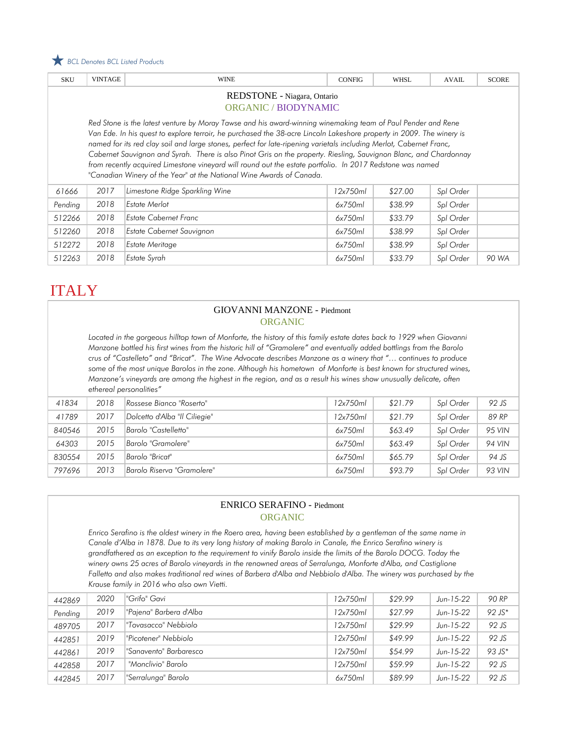

| <b>SKU</b>                                                                                                                                                                                                                                                                                                                                                                                                                                                                                                                                                                                                                                                            | <b>VINTAGE</b> | <b>WINE</b>                    | <b>CONFIG</b> | <b>WHSL</b> | <b>AVAIL</b> | <b>SCORE</b> |  |
|-----------------------------------------------------------------------------------------------------------------------------------------------------------------------------------------------------------------------------------------------------------------------------------------------------------------------------------------------------------------------------------------------------------------------------------------------------------------------------------------------------------------------------------------------------------------------------------------------------------------------------------------------------------------------|----------------|--------------------------------|---------------|-------------|--------------|--------------|--|
| REDSTONE - Niagara, Ontario<br><b>ORGANIC / BIODYNAMIC</b>                                                                                                                                                                                                                                                                                                                                                                                                                                                                                                                                                                                                            |                |                                |               |             |              |              |  |
| Red Stone is the latest venture by Moray Tawse and his award-winning winemaking team of Paul Pender and Rene<br>Van Ede. In his quest to explore terroir, he purchased the 38-acre Lincoln Lakeshore property in 2009. The winery is<br>named for its red clay soil and large stones, perfect for late-ripening varietals including Merlot, Cabernet Franc,<br>Cabernet Sauvignon and Syrah. There is also Pinot Gris on the property. Riesling, Sauvignon Blanc, and Chardonnay<br>from recently acquired Limestone vineyard will round out the estate portfolio. In 2017 Redstone was named<br>"Canadian Winery of the Year" at the National Wine Awards of Canada. |                |                                |               |             |              |              |  |
| 61666                                                                                                                                                                                                                                                                                                                                                                                                                                                                                                                                                                                                                                                                 | 2017           | Limestone Ridge Sparkling Wine | 12x750ml      | \$27.00     | Spl Order    |              |  |
| Pending                                                                                                                                                                                                                                                                                                                                                                                                                                                                                                                                                                                                                                                               | 2018           | <b>Estate Merlot</b>           | 6x750ml       | \$38.99     | Spl Order    |              |  |
| 512266                                                                                                                                                                                                                                                                                                                                                                                                                                                                                                                                                                                                                                                                | 2018           | <b>Estate Cabernet Franc</b>   | 6x750ml       | \$33.79     | Spl Order    |              |  |
| 512260                                                                                                                                                                                                                                                                                                                                                                                                                                                                                                                                                                                                                                                                | 2018           | Estate Cabernet Sauvignon      | 6x750ml       | \$38.99     | Spl Order    |              |  |
| 512272                                                                                                                                                                                                                                                                                                                                                                                                                                                                                                                                                                                                                                                                | 2018           | <b>Estate Meritage</b>         | 6x750ml       | \$38.99     | Spl Order    |              |  |
| 512263                                                                                                                                                                                                                                                                                                                                                                                                                                                                                                                                                                                                                                                                | 2018           | Estate Syrah                   | 6x750ml       | \$33.79     | Spl Order    | 90 WA        |  |

# **ITALY**

#### GIOVANNI MANZONE - Piedmont ORGANIC

Located in the gorgeous hilltop town of Monforte, the history of this family estate dates back to 1929 when Giovanni *Manzone bottled his first wines from the historic hill of "Gramolere" and eventually added bottlings from the Barolo crus of "Castelleto" and "Bricat". The Wine Advocate describes Manzone as a winery that "… continues to produce*  some of the most unique Barolos in the zone. Although his hometown of Monforte is best known for structured wines, *Manzone's vineyards are among the highest in the region, and as a result his wines show unusually delicate, often ethereal personalities"*

| 41834  | 2018 | Rossese Bianco "Roserto"      | 12x750ml | \$21.79 | Spl Order | 92 JS  |
|--------|------|-------------------------------|----------|---------|-----------|--------|
| 41789  | 2017 | Dolcetto d'Alba "Il Ciliegie" | 12x750ml | \$21.79 | Spl Order | 89 RP  |
| 840546 | 2015 | Barolo "Castelletto"          | 6x750ml  | \$63.49 | Spl Order | 95 VIN |
| 64303  | 2015 | Barolo "Gramolere"            | 6x750ml  | \$63.49 | Spl Order | 94 VIN |
| 830554 | 2015 | Barolo "Bricat"               | 6x750ml  | \$65.79 | Spl Order | 94 JS  |
| 797696 | 2013 | Barolo Riserva "Gramolere"    | 6x750ml  | \$93.79 | Spl Order | 93 VIN |

### ENRICO SERAFINO - Piedmont ORGANIC

*Enrico Serafino is the oldest winery in the Roero area, having been established by a gentleman of the same name in Canale d'Alba in 1878. Due to its very long history of making Barolo in Canale, the Enrico Serafino winery is grandfathered as an exception to the requirement to vinify Barolo inside the limits of the Barolo DOCG. Today the winery owns 25 acres of Barolo vineyards in the renowned areas of Serralunga, Monforte d'Alba, and Castiglione Falletto and also makes traditional red wines of Barbera d'Alba and Nebbiolo d'Alba. The winery was purchased by the Krause family in 2016 who also own Vietti.*

| 442869  | 2020 | "Grifo" Gavi            | 12x750ml | \$29.99 | $Jun-15-22$ | 90 RP    |
|---------|------|-------------------------|----------|---------|-------------|----------|
| Pending | 2019 | "Pajena" Barbera d'Alba | 12x750ml | \$27.99 | $Jun-15-22$ | $92 JS*$ |
| 489705  | 2017 | "Tovasacco" Nebbiolo    | 12x750ml | \$29.99 | Jun-15-22   | 92 JS    |
| 442851  | 2019 | "Picotener" Nebbiolo    | 12x750ml | \$49.99 | Jun-15-22   | 92 JS    |
| 442861  | 2019 | "Sanavento" Barbaresco  | 12x750ml | \$54.99 | $Jun-15-22$ | $93 JS*$ |
| 442858  | 2017 | "Monclivio" Barolo      | 12x750ml | \$59.99 | $Jun-15-22$ | 92 JS    |
| 442845  | 2017 | "Serralunga" Barolo     | 6x750ml  | \$89.99 | Jun-15-22   | 92 JS    |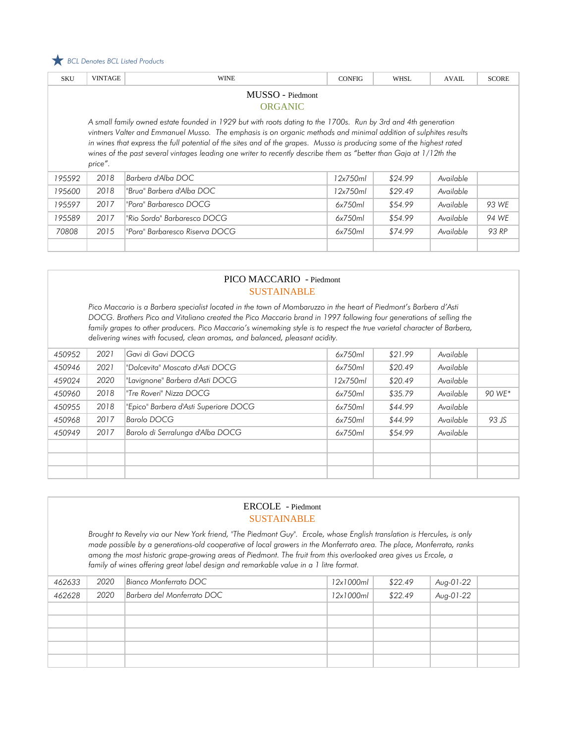

| <b>SKU</b>                                                                                                                                                                                                                                                                                                                                                                                                                                                                                  | <b>VINTAGE</b> | <b>WINE</b>                    | <b>CONFIG</b> | <b>WHSL</b> | <b>AVAIL</b> | <b>SCORE</b> |  |
|---------------------------------------------------------------------------------------------------------------------------------------------------------------------------------------------------------------------------------------------------------------------------------------------------------------------------------------------------------------------------------------------------------------------------------------------------------------------------------------------|----------------|--------------------------------|---------------|-------------|--------------|--------------|--|
| MUSSO - Piedmont                                                                                                                                                                                                                                                                                                                                                                                                                                                                            |                |                                |               |             |              |              |  |
|                                                                                                                                                                                                                                                                                                                                                                                                                                                                                             |                | <b>ORGANIC</b>                 |               |             |              |              |  |
| A small family owned estate founded in 1929 but with roots dating to the 1700s. Run by 3rd and 4th generation<br>vintners Valter and Emmanuel Musso. The emphasis is on organic methods and minimal addition of sulphites results<br>in wines that express the full potential of the sites and of the grapes. Musso is producing some of the highest rated<br>wines of the past several vintages leading one writer to recently describe them as "better than Gaja at 1/12th the<br>price". |                |                                |               |             |              |              |  |
| 195592                                                                                                                                                                                                                                                                                                                                                                                                                                                                                      | 2018           | Barbera d'Alba DOC             | 12x750ml      | \$24.99     | Available    |              |  |
| 195600                                                                                                                                                                                                                                                                                                                                                                                                                                                                                      | 2018           | "Brua" Barbera d'Alba DOC      | 12x750ml      | \$29.49     | Available    |              |  |
| 195597                                                                                                                                                                                                                                                                                                                                                                                                                                                                                      | 2017           | "Pora" Barbaresco DOCG         | 6x750ml       | \$54.99     | Available    | 93 WE        |  |
| 195589                                                                                                                                                                                                                                                                                                                                                                                                                                                                                      | 2017           | "Rio Sordo" Barbaresco DOCG    | 6x750ml       | \$54.99     | Available    | 94 WF        |  |
| 70808                                                                                                                                                                                                                                                                                                                                                                                                                                                                                       | 2015           | "Pora" Barbaresco Riserva DOCG | 6x750ml       | \$74.99     | Available    | 93 RP        |  |
|                                                                                                                                                                                                                                                                                                                                                                                                                                                                                             |                |                                |               |             |              |              |  |

#### PICO MACCARIO - Piedmont SUSTAINABLE

*Pico Maccario is a Barbera specialist located in the town of Mombaruzzo in the heart of Piedmont's Barbera d'Asti DOCG. Brothers Pico and Vitaliano created the Pico Maccario brand in 1997 following four generations of selling the family grapes to other producers. Pico Maccario's winemaking style is to respect the true varietal character of Barbera, delivering wines with focused, clean aromas, and balanced, pleasant acidity.* 

| 450952 | 2021 | Gavi di Gavi DOCG                     | 6x750ml  | \$21.99 | Available |        |
|--------|------|---------------------------------------|----------|---------|-----------|--------|
| 450946 | 2021 | "Dolcevita" Moscato d'Asti DOCG       | 6x750ml  | \$20.49 | Available |        |
| 459024 | 2020 | "Lavignone" Barbera d'Asti DOCG       | 12x750ml | \$20.49 | Available |        |
| 450960 | 2018 | "Tre Roveri" Nizza DOCG               | 6x750ml  | \$35.79 | Available | 90 WE* |
| 450955 | 2018 | "Epico" Barbera d'Asti Superiore DOCG | 6x750ml  | \$44.99 | Available |        |
| 450968 | 2017 | Barolo DOCG                           | 6x750ml  | \$44.99 | Available | 93 JS  |
| 450949 | 2017 | Barolo di Serralunga d'Alba DOCG      | 6x750ml  | \$54.99 | Available |        |
|        |      |                                       |          |         |           |        |
|        |      |                                       |          |         |           |        |
|        |      |                                       |          |         |           |        |

#### ERCOLE - Piedmont SUSTAINABLE

*Brought to Revelry via our New York friend, "The Piedmont Guy". Ercole, whose English translation is Hercules, is only made possible by a generations-old cooperative of local growers in the Monferrato area. The place, Monferrato, ranks among the most historic grape-growing areas of Piedmont. The fruit from this overlooked area gives us Ercole, a family of wines offering great label design and remarkable value in a 1 litre format.* 

| 462633 | 2020 | Bianco Monferrato DOC      | 12x1000ml | \$22.49 | Aug-01-22 |  |
|--------|------|----------------------------|-----------|---------|-----------|--|
| 462628 | 2020 | Barbera del Monferrato DOC | 12x1000ml | \$22.49 | Aug-01-22 |  |
|        |      |                            |           |         |           |  |
|        |      |                            |           |         |           |  |
|        |      |                            |           |         |           |  |
|        |      |                            |           |         |           |  |
|        |      |                            |           |         |           |  |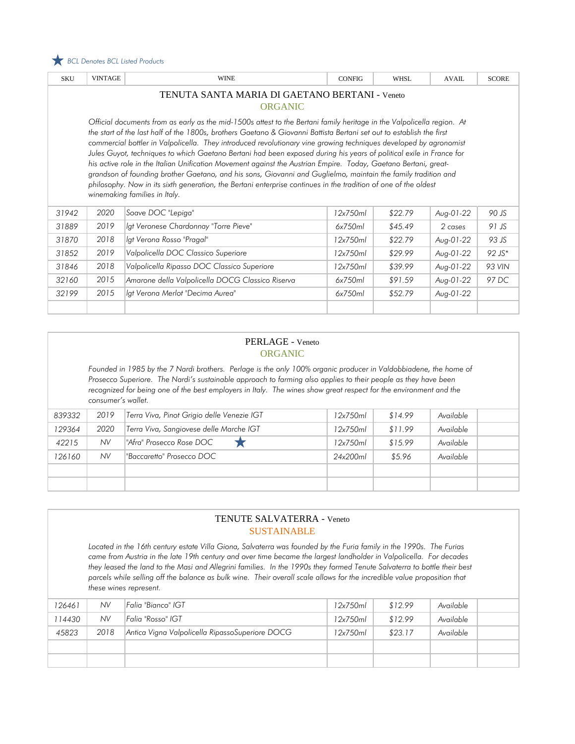

| <b>SKU</b>                                                                                                                                                                                                                                                                                                                                                                                                                                                                                                                                                                                                                                                                                                                                                                                                                                                                         | <b>VINTAGE</b>                                                              | <b>WINE</b>                                      | <b>CONFIG</b> | <b>WHSL</b> | <b>AVAIL</b>        | <b>SCORE</b> |  |  |  |  |  |
|------------------------------------------------------------------------------------------------------------------------------------------------------------------------------------------------------------------------------------------------------------------------------------------------------------------------------------------------------------------------------------------------------------------------------------------------------------------------------------------------------------------------------------------------------------------------------------------------------------------------------------------------------------------------------------------------------------------------------------------------------------------------------------------------------------------------------------------------------------------------------------|-----------------------------------------------------------------------------|--------------------------------------------------|---------------|-------------|---------------------|--------------|--|--|--|--|--|
|                                                                                                                                                                                                                                                                                                                                                                                                                                                                                                                                                                                                                                                                                                                                                                                                                                                                                    | TENUTA SANTA MARIA DI GAETANO BERTANI - Veneto<br><b>ORGANIC</b>            |                                                  |               |             |                     |              |  |  |  |  |  |
| Official documents from as early as the mid-1500s attest to the Bertani family heritage in the Valpolicella region. At<br>the start of the last half of the 1800s, brothers Gaetano & Giovanni Battista Bertani set out to establish the first<br>commercial bottler in Valpolicella. They introduced revolutionary vine growing techniques developed by agronomist<br>Jules Guyot, techniques to which Gaetano Bertani had been exposed during his years of political exile in France for<br>his active role in the Italian Unification Movement against the Austrian Empire. Today, Gaetano Bertani, great-<br>grandson of founding brother Gaetano, and his sons, Giovanni and Guglielmo, maintain the family tradition and<br>philosophy. Now in its sixth generation, the Bertani enterprise continues in the tradition of one of the oldest<br>winemaking families in Italy. |                                                                             |                                                  |               |             |                     |              |  |  |  |  |  |
| 31942                                                                                                                                                                                                                                                                                                                                                                                                                                                                                                                                                                                                                                                                                                                                                                                                                                                                              | 2020                                                                        | Soave DOC "Lepiga"                               | 12x750ml      | \$22.79     | Aug-01-22           | 90 JS        |  |  |  |  |  |
| 31889                                                                                                                                                                                                                                                                                                                                                                                                                                                                                                                                                                                                                                                                                                                                                                                                                                                                              | 2019                                                                        | Igt Veronese Chardonnay "Torre Pieve"            | 6x750ml       | \$45.49     | $2 \; \text{cases}$ | $91$ JS      |  |  |  |  |  |
| 31870                                                                                                                                                                                                                                                                                                                                                                                                                                                                                                                                                                                                                                                                                                                                                                                                                                                                              | 2018                                                                        | lgt Verona Rosso "Pragal"                        | 12x750ml      | \$22.79     | Aug-01-22           | 93 JS        |  |  |  |  |  |
| 31852                                                                                                                                                                                                                                                                                                                                                                                                                                                                                                                                                                                                                                                                                                                                                                                                                                                                              | 2019                                                                        | Valpolicella DOC Classico Superiore              | 12x750ml      | \$29.99     | Aug-01-22           | $92$ JS*     |  |  |  |  |  |
| 31846                                                                                                                                                                                                                                                                                                                                                                                                                                                                                                                                                                                                                                                                                                                                                                                                                                                                              | 2018                                                                        | Valpolicella Ripasso DOC Classico Superiore      | 12x750ml      | \$39.99     | Aug-01-22           | 93 VIN       |  |  |  |  |  |
| 32160                                                                                                                                                                                                                                                                                                                                                                                                                                                                                                                                                                                                                                                                                                                                                                                                                                                                              | 2015                                                                        | Amarone della Valpolicella DOCG Classico Riserva | 6x750ml       | \$91.59     | Aug-01-22           | 97 DC        |  |  |  |  |  |
| 32199                                                                                                                                                                                                                                                                                                                                                                                                                                                                                                                                                                                                                                                                                                                                                                                                                                                                              | lat Verona Merlot "Decima Aurea"<br>2015<br>\$52.79<br>6x750ml<br>Aug-01-22 |                                                  |               |             |                     |              |  |  |  |  |  |

### PERLAGE - Veneto ORGANIC

*Founded in 1985 by the 7 Nardi brothers. Perlage is the only 100% organic producer in Valdobbiadene, the home of Prosecco Superiore. The Nardi's sustainable approach to farming also applies to their people as they have been recognized for being one of the best employers in Italy. The wines show great respect for the environment and the consumer's wallet.*

| 839332 | 2019      | Terra Viva, Pinot Grigio delle Venezie IGT | 12x750ml | \$14.99 | Available |  |
|--------|-----------|--------------------------------------------|----------|---------|-----------|--|
| 129364 | 2020      | Terra Viva, Sangiovese delle Marche IGT    | 12x750ml | \$11.99 | Available |  |
| 42215  | <b>NV</b> | "Afra" Prosecco Rose DOC                   | 12x750ml | \$15.99 | Available |  |
| 126160 | <b>NV</b> | l''Baccaretto'' Prosecco DOC               | 24x200ml | \$5.96  | Available |  |
|        |           |                                            |          |         |           |  |
|        |           |                                            |          |         |           |  |

#### TENUTE SALVATERRA - Veneto SUSTAINABLE

*Located in the 16th century estate Villa Giona, Salvaterra was founded by the Furia family in the 1990s. The Furias came from Austria in the late 19th century and over time became the largest landholder in Valpolicella. For decades they leased the land to the Masi and Allegrini families. In the 1990s they formed Tenute Salvaterra to bottle their best*  parcels while selling off the balance as bulk wine. Their overall scale allows for the incredible value proposition that *these wines represent.*

| 126461 | <b>NV</b> | Falia "Bianco" IGT                              | 12x750ml | \$12.99 | Available |  |
|--------|-----------|-------------------------------------------------|----------|---------|-----------|--|
| 114430 | NV.       | Falia "Rosso" IGT                               | 12x750ml | \$12.99 | Available |  |
| 45823  | 2018      | Antica Vigna Valpolicella RipassoSuperiore DOCG | 12x750ml | \$23.17 | Available |  |
|        |           |                                                 |          |         |           |  |
|        |           |                                                 |          |         |           |  |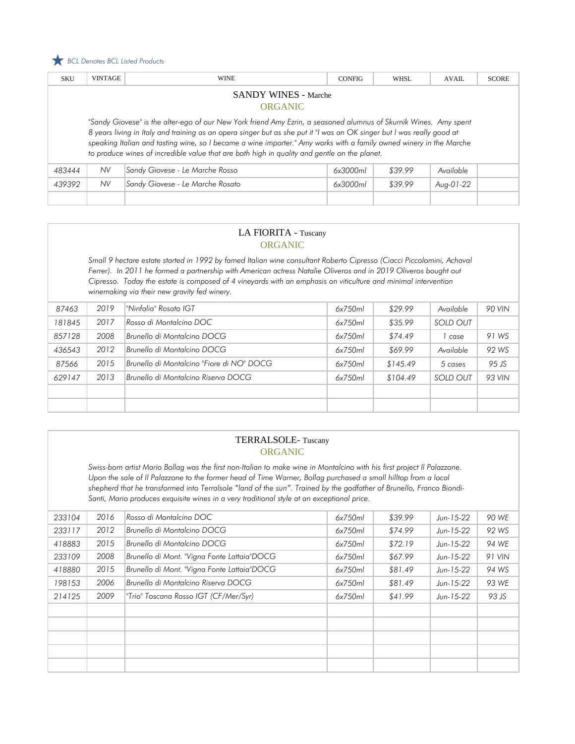#### *BCL Denotes BCL Listed Products*

| <b>SKU</b>                                    | <b>VINTAGE</b> | <b>WINE</b>                                                                                                                                                                                                                                                                                                                                                                                                                                                        | <b>CONFIG</b> | WHSL    | <b>AVAIL</b> | <b>SCORE</b> |  |  |
|-----------------------------------------------|----------------|--------------------------------------------------------------------------------------------------------------------------------------------------------------------------------------------------------------------------------------------------------------------------------------------------------------------------------------------------------------------------------------------------------------------------------------------------------------------|---------------|---------|--------------|--------------|--|--|
| <b>SANDY WINES - Marche</b><br><b>ORGANIC</b> |                |                                                                                                                                                                                                                                                                                                                                                                                                                                                                    |               |         |              |              |  |  |
|                                               |                | "Sandy Giovese" is the alter-ego of our New York friend Amy Ezrin, a seasoned alumnus of Skurnik Wines. Amy spent<br>8 years living in Italy and training as an opera singer but as she put it "I was an OK singer but I was really good at<br>speaking Italian and tasting wine, so I became a wine importer." Amy works with a family owned winery in the Marche<br>to produce wines of incredible value that are both high in quality and gentle on the planet. |               |         |              |              |  |  |
| 483444                                        | NV.            | Sandy Giovese - Le Marche Rosso                                                                                                                                                                                                                                                                                                                                                                                                                                    | 6x3000ml      | \$39.99 | Available    |              |  |  |
| 439392                                        | NV.            | Sandy Giovese - Le Marche Rosato                                                                                                                                                                                                                                                                                                                                                                                                                                   | 6x3000ml      | \$39.99 | Aug-01-22    |              |  |  |
|                                               |                |                                                                                                                                                                                                                                                                                                                                                                                                                                                                    |               |         |              |              |  |  |

#### LA FIORITA - Tuscany ORGANIC

*Small 9 hectare estate started in 1992 by famed Italian wine consultant Roberto Cipresso (Ciacci Piccolomini, Achaval Ferrer). In 2011 he formed a partnership with American actress Natalie Oliveros and in 2019 Oliveros bought out Cipresso. Today the estate is composed of 4 vineyards with an emphasis on viticulture and minimal intervention winemaking via their new gravity fed winery.*

| 87463  | 2019 | "Ninfalia" Rosato IGT                     | 6x750ml | \$29.99  | Available | 90 VIN |
|--------|------|-------------------------------------------|---------|----------|-----------|--------|
| 181845 | 2017 | Rosso di Montalcino DOC                   | 6x750ml | \$35.99  | SOLD OUT  |        |
| 857128 | 2008 | Brunello di Montalcino DOCG               | 6x750ml | \$74.49  | case      | 91 WS  |
| 436543 | 2012 | Brunello di Montalcino DOCG               | 6x750ml | \$69.99  | Available | 92 WS  |
| 87566  | 2015 | Brunello di Montalcino "Fiore di NO" DOCG | 6x750ml | \$145.49 | 5 cases   | 95 JS  |
| 629147 | 2013 | Brunello di Montalcino Riserva DOCG       | 6x750ml | \$104.49 | SOLD OUT  | 93 VIN |
|        |      |                                           |         |          |           |        |
|        |      |                                           |         |          |           |        |

#### TERRALSOLE- Tuscany ORGANIC

*Swiss-born artist Mario Bollag was the first non-Italian to make wine in Montalcino with his first project Il Palazzone. Upon the sale of II Palazzone to the former head of Time Warner, Bollag purchased a small hilltop from a local shepherd that he transformed into Terralsole "land of the sun". Trained by the godfather of Brunello, Franco Biondi-Santi, Mario produces exquisite wines in a very traditional style at an exceptional price.*

| 233104 | 2016 | Rosso di Montalcino DOC                     | 6x750ml | \$39.99 | $Jun-15-22$ | 90 WE  |
|--------|------|---------------------------------------------|---------|---------|-------------|--------|
| 233117 | 2012 | Brunello di Montalcino DOCG                 | 6x750ml | \$74.99 | $Jun-15-22$ | 92 WS  |
| 418883 | 2015 | Brunello di Montalcino DOCG                 | 6x750ml | \$72.19 | $Jun-15-22$ | 94 WE  |
| 233109 | 2008 | Brunello di Mont. "Vigna Fonte Lattaia"DOCG | 6x750ml | \$67.99 | $Jun-15-22$ | 91 VIN |
| 418880 | 2015 | Brunello di Mont. "Vigna Fonte Lattaia"DOCG | 6x750ml | \$81.49 | $Jun-15-22$ | 94 WS  |
| 198153 | 2006 | Brunello di Montalcino Riserva DOCG         | 6x750ml | \$81.49 | $Jun-15-22$ | 93 WE  |
| 214125 | 2009 | "Trio" Toscana Rosso IGT (CF/Mer/Syr)       | 6x750ml | \$41.99 | $Jun-15-22$ | 93 JS  |
|        |      |                                             |         |         |             |        |
|        |      |                                             |         |         |             |        |
|        |      |                                             |         |         |             |        |
|        |      |                                             |         |         |             |        |
|        |      |                                             |         |         |             |        |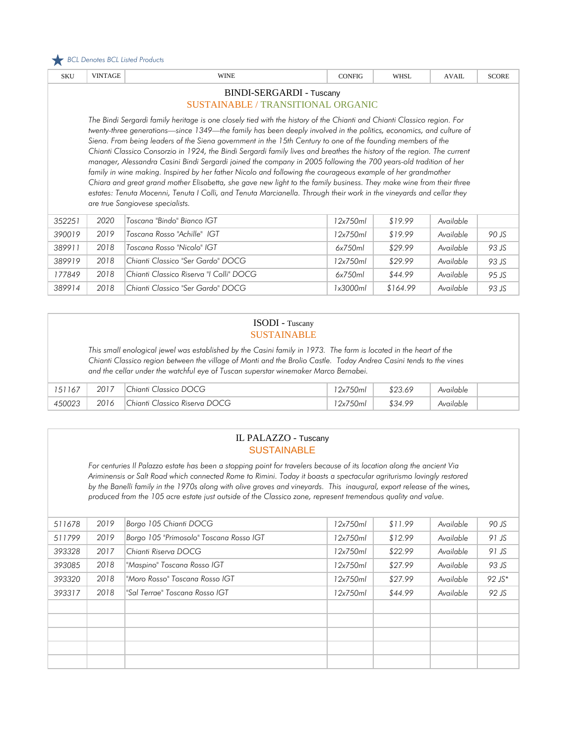

| <b>SKU</b>                                                                                                                                                                                                                                                                                                                                                                                                                                                                                                                                                                                                                                                                                                                                                                                                                                                                                                                                                                                                       | <b>VINTAGE</b>                            | <b>WINE</b>                             | <b>CONFIG</b> | WHSL    | AVAH.     | <b>SCORE</b> |  |  |  |  |
|------------------------------------------------------------------------------------------------------------------------------------------------------------------------------------------------------------------------------------------------------------------------------------------------------------------------------------------------------------------------------------------------------------------------------------------------------------------------------------------------------------------------------------------------------------------------------------------------------------------------------------------------------------------------------------------------------------------------------------------------------------------------------------------------------------------------------------------------------------------------------------------------------------------------------------------------------------------------------------------------------------------|-------------------------------------------|-----------------------------------------|---------------|---------|-----------|--------------|--|--|--|--|
|                                                                                                                                                                                                                                                                                                                                                                                                                                                                                                                                                                                                                                                                                                                                                                                                                                                                                                                                                                                                                  |                                           | BINDI-SERGARDI - Tuscany                |               |         |           |              |  |  |  |  |
|                                                                                                                                                                                                                                                                                                                                                                                                                                                                                                                                                                                                                                                                                                                                                                                                                                                                                                                                                                                                                  | <b>SUSTAINABLE / TRANSITIONAL ORGANIC</b> |                                         |               |         |           |              |  |  |  |  |
| The Bindi Sergardi family heritage is one closely tied with the history of the Chianti and Chianti Classico region. For<br>twenty-three generations—since 1349—the family has been deeply involved in the politics, economics, and culture of<br>Siena. From being leaders of the Siena government in the 15th Century to one of the founding members of the<br>Chianti Classico Consorzio in 1924, the Bindi Sergardi family lives and breathes the history of the region. The current<br>manager, Alessandra Casini Bindi Sergardi joined the company in 2005 following the 700 years-old tradition of her<br>family in wine making. Inspired by her father Nicolo and following the courageous example of her grandmother<br>Chiara and great grand mother Elisabetta, she gave new light to the family business. They make wine from their three<br>estates: Tenuta Mocenni, Tenuta I Colli, and Tenuta Marcianella. Through their work in the vineyards and cellar they<br>are true Sangiovese specialists. |                                           |                                         |               |         |           |              |  |  |  |  |
|                                                                                                                                                                                                                                                                                                                                                                                                                                                                                                                                                                                                                                                                                                                                                                                                                                                                                                                                                                                                                  |                                           |                                         |               |         |           |              |  |  |  |  |
| 352251                                                                                                                                                                                                                                                                                                                                                                                                                                                                                                                                                                                                                                                                                                                                                                                                                                                                                                                                                                                                           | 2020                                      | Toscana "Bindo" Bianco IGT              | 12x750ml      | \$19.99 | Available |              |  |  |  |  |
|                                                                                                                                                                                                                                                                                                                                                                                                                                                                                                                                                                                                                                                                                                                                                                                                                                                                                                                                                                                                                  | 2019                                      | Toscana Rosso "Achille" IGT             | 12x750ml      | \$19.99 | Available | 90 JS        |  |  |  |  |
|                                                                                                                                                                                                                                                                                                                                                                                                                                                                                                                                                                                                                                                                                                                                                                                                                                                                                                                                                                                                                  | 2018                                      | Toscana Rosso "Nicolo" IGT              | 6x750ml       | \$29.99 | Available | 93 JS        |  |  |  |  |
|                                                                                                                                                                                                                                                                                                                                                                                                                                                                                                                                                                                                                                                                                                                                                                                                                                                                                                                                                                                                                  | 2018                                      | Chianti Classico "Ser Gardo" DOCG       | 12x750ml      | \$29.99 | Available | 93 JS        |  |  |  |  |
| 390019<br>389911<br>389919<br>177849                                                                                                                                                                                                                                                                                                                                                                                                                                                                                                                                                                                                                                                                                                                                                                                                                                                                                                                                                                             | 2018                                      | Chianti Classico Riserva "I Colli" DOCG | 6x750ml       | \$44.99 | Available | 95 JS        |  |  |  |  |

#### ISODI - Tuscany SUSTAINABLE

*This small enological jewel was established by the Casini family in 1973. The farm is located in the heart of the Chianti Classico region between the village of Monti and the Brolio Castle. Today Andrea Casini tends to the vines and the cellar under the watchful eye of Tuscan superstar winemaker Marco Bernabei.*

| 151167 | 2017 | Classico DOCG<br>$\mathcal{L}$ hianti $C'$ | 750<br>'2xi<br>.<br>20ml | \$23.69 | Available |  |
|--------|------|--------------------------------------------|--------------------------|---------|-----------|--|
| 450023 | 2016 | Classico Riserva DOCG<br>.`hianti          | 750<br>' $2x$<br>.30mL   | \$34.99 | Available |  |

#### IL PALAZZO - Tuscany **SUSTAINABLE**

*For centuries Il Palazzo estate has been a stopping point for travelers because of its location along the ancient Via Ariminensis or Salt Road which connected Rome to Rimini. Today it boasts a spectacular agriturismo lovingly restored by the Banelli family in the 1970s along with olive groves and vineyards. This inaugural, export release of the wines, produced from the 105 acre estate just outside of the Classico zone, represent tremendous quality and value.*

| 511678 | 2019 | Borgo 105 Chianti DOCG                  | 12x750ml | \$11.99 | Available | 90 JS    |
|--------|------|-----------------------------------------|----------|---------|-----------|----------|
| 511799 | 2019 | Borgo 105 "Primosolo" Toscana Rosso IGT | 12x750ml | \$12.99 | Available | 91 JS    |
| 393328 | 2017 | Chianti Riserva DOCG                    | 12x750ml | \$22.99 | Available | $91$ JS  |
| 393085 | 2018 | "Maspino" Toscana Rosso IGT             | 12x750ml | \$27.99 | Available | 93 JS    |
| 393320 | 2018 | "Moro Rosso" Toscana Rosso IGT          | 12x750ml | \$27.99 | Available | $92$ JS* |
| 393317 | 2018 | "Sal Terrae" Toscana Rosso IGT          | 12x750ml | \$44.99 | Available | 92 JS    |
|        |      |                                         |          |         |           |          |
|        |      |                                         |          |         |           |          |
|        |      |                                         |          |         |           |          |
|        |      |                                         |          |         |           |          |
|        |      |                                         |          |         |           |          |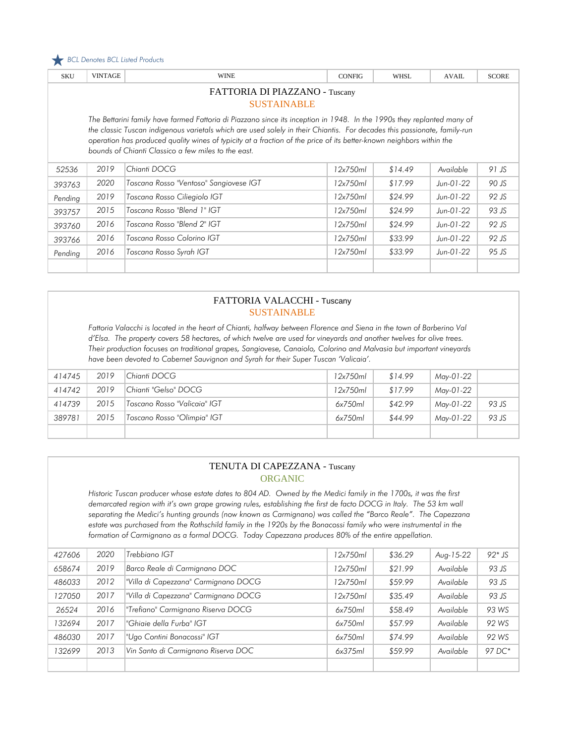

| <b>SKU</b>                                                                                                                                                                                                                                                                                                                                                                                                                        | <b>VINTAGE</b>                 | <b>WINE</b>                            | <b>CONFIG</b> | WHSL    | <b>AVAIL</b> | <b>SCORE</b> |  |  |  |  |  |
|-----------------------------------------------------------------------------------------------------------------------------------------------------------------------------------------------------------------------------------------------------------------------------------------------------------------------------------------------------------------------------------------------------------------------------------|--------------------------------|----------------------------------------|---------------|---------|--------------|--------------|--|--|--|--|--|
|                                                                                                                                                                                                                                                                                                                                                                                                                                   | FATTORIA DI PIAZZANO - Tuscany |                                        |               |         |              |              |  |  |  |  |  |
|                                                                                                                                                                                                                                                                                                                                                                                                                                   | <b>SUSTAINABLE</b>             |                                        |               |         |              |              |  |  |  |  |  |
| The Bettarini family have farmed Fattoria di Piazzano since its inception in 1948. In the 1990s they replanted many of<br>the classic Tuscan indigenous varietals which are used solely in their Chiantis. For decades this passionate, family-run<br>operation has produced quality wines of typicity at a fraction of the price of its better-known neighbors within the<br>bounds of Chianti Classico a few miles to the east. |                                |                                        |               |         |              |              |  |  |  |  |  |
| 52536                                                                                                                                                                                                                                                                                                                                                                                                                             | 2019                           | Chianti DOCG                           | 12x750ml      | \$14.49 | Available    | 91 JS        |  |  |  |  |  |
| 393763                                                                                                                                                                                                                                                                                                                                                                                                                            | 2020                           | Toscana Rosso "Ventoso" Sangiovese IGT | 12x750ml      | \$17.99 | $Jun-01-22$  | 90 JS        |  |  |  |  |  |
| Pending                                                                                                                                                                                                                                                                                                                                                                                                                           | 2019                           | Toscana Rosso Ciliegiolo IGT           | 12x750ml      | \$24.99 | $Jun-01-22$  | 92 JS        |  |  |  |  |  |
| 393757                                                                                                                                                                                                                                                                                                                                                                                                                            | 2015                           | Toscana Rosso "Blend 1" IGT            | 12x750ml      | \$24.99 | Jun-01-22    | 93 JS        |  |  |  |  |  |
| 393760                                                                                                                                                                                                                                                                                                                                                                                                                            | 2016                           | Toscana Rosso "Blend 2" IGT            | 12x750ml      | \$24.99 | $Jun-01-22$  | 92 JS        |  |  |  |  |  |
| 393766                                                                                                                                                                                                                                                                                                                                                                                                                            | 2016                           | Toscana Rosso Colorino IGT             | 12x750ml      | \$33.99 | Jun-01-22    | 92 JS        |  |  |  |  |  |
| Pending                                                                                                                                                                                                                                                                                                                                                                                                                           | 2016                           | Toscana Rosso Syrah IGT                | 12x750ml      | \$33.99 | $Jun-01-22$  | 95 JS        |  |  |  |  |  |

#### FATTORIA VALACCHI - Tuscany SUSTAINABLE

*Fattoria Valacchi is located in the heart of Chianti, halfway between Florence and Siena in the town of Barberino Val d'Elsa. The property covers 58 hectares, of which twelve are used for vineyards and another twelves for olive trees. Their production focuses on traditional grapes, Sangiovese, Canaiolo, Colorino and Malvasia but important vineyards have been devoted to Cabernet Sauvignon and Syrah for their Super Tuscan 'Valicaia'.* 

| 414745 | 2019 | Chianti DOCG                 | 12x750ml | \$14.99 | May-01-22 |       |
|--------|------|------------------------------|----------|---------|-----------|-------|
| 414742 | 2019 | Chianti "Gelso" DOCG         | 12x750ml | \$17.99 | Mav-01-22 |       |
| 414739 | 2015 | Toscano Rosso "Valicaia" IGT | 6x750ml  | \$42.99 | May-01-22 | 93 JS |
| 389781 | 2015 | Toscano Rosso "Olimpia" IGT  | 6x750ml  | \$44.99 | Mav-01-22 | 93 JS |
|        |      |                              |          |         |           |       |

### TENUTA DI CAPEZZANA - Tuscany ORGANIC

*Historic Tuscan producer whose estate dates to 804 AD. Owned by the Medici family in the 1700s, it was the first demarcated region with it's own grape growing rules, establishing the first de facto DOCG in Italy. The 53 km wall separating the Medici's hunting grounds (now known as Carmignano) was called the "Barco Reale". The Capezzana*  estate was purchased from the Rothschild family in the 1920s by the Bonacossi family who were instrumental in the *formation of Carmignano as a formal DOCG. Today Capezzana produces 80% of the entire appellation.*

| 427606 | 2020 | Trebbiano IGT                        | 12x750ml | \$36.29 | Aug-15-22 | $92*$ JS |
|--------|------|--------------------------------------|----------|---------|-----------|----------|
| 658674 | 2019 | Barco Reale di Carmignano DOC        | 12x750ml | \$21.99 | Available | 93 JS    |
| 486033 | 2012 | "Villa di Capezzana" Carmignano DOCG | 12x750ml | \$59.99 | Available | 93 JS    |
| 127050 | 2017 | "Villa di Capezzana" Carmignano DOCG | 12x750ml | \$35.49 | Available | 93 JS    |
| 26524  | 2016 | "Trefiano" Carmignano Riserva DOCG   | 6x750ml  | \$58.49 | Available | 93 WS    |
| 132694 | 2017 | "Ghiaie della Furba" IGT             | 6x750ml  | \$57.99 | Available | 92 WS    |
| 486030 | 2017 | "Ugo Contini Bonacossi" IGT          | 6x750ml  | \$74.99 | Available | 92 WS    |
| 132699 | 2013 | Vin Santo di Carmignano Riserva DOC  | 6x375ml  | \$59.99 | Available | 97 DC*   |
|        |      |                                      |          |         |           |          |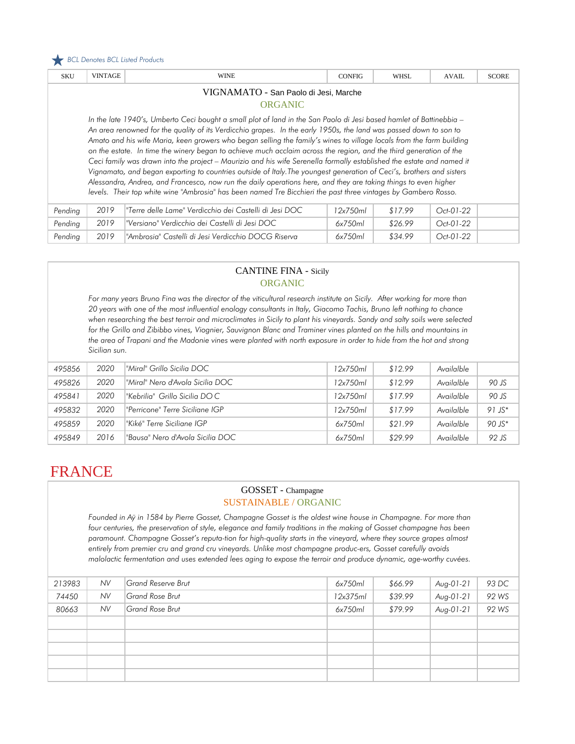

| <b>SKU</b>                                                                                                                                                                                                                                                                                                                                                                                                                                                                                                                                                                                                                                                                                                                                                                                                                                                                                                                                                                    | <b>VINTAGE</b> | <b>WINE</b>                                            | <b>CONFIG</b> | <b>WHSL</b> | <b>AVAIL</b> | <b>SCORE</b> |  |  |
|-------------------------------------------------------------------------------------------------------------------------------------------------------------------------------------------------------------------------------------------------------------------------------------------------------------------------------------------------------------------------------------------------------------------------------------------------------------------------------------------------------------------------------------------------------------------------------------------------------------------------------------------------------------------------------------------------------------------------------------------------------------------------------------------------------------------------------------------------------------------------------------------------------------------------------------------------------------------------------|----------------|--------------------------------------------------------|---------------|-------------|--------------|--------------|--|--|
| VIGNAMATO - San Paolo di Jesi, Marche<br><b>ORGANIC</b>                                                                                                                                                                                                                                                                                                                                                                                                                                                                                                                                                                                                                                                                                                                                                                                                                                                                                                                       |                |                                                        |               |             |              |              |  |  |
| In the late 1940's, Umberto Ceci bought a small plot of land in the San Paolo di Jesi based hamlet of Battinebbia -<br>An area renowned for the quality of its Verdicchio grapes. In the early 1950s, the land was passed down to son to<br>Amato and his wife Maria, keen growers who began selling the family's wines to village locals from the farm building<br>on the estate. In time the winery began to achieve much acclaim across the region, and the third generation of the<br>Ceci family was drawn into the project - Maurizio and his wife Serenella formally established the estate and named it<br>Vignamato, and began exporting to countries outside of Italy. The youngest generation of Ceci's, brothers and sisters<br>Alessandra, Andrea, and Francesco, now run the daily operations here, and they are taking things to even higher<br>levels. Their top white wine "Ambrosia" has been named Tre Bicchieri the past three vintages by Gambero Rosso. |                |                                                        |               |             |              |              |  |  |
| Pending                                                                                                                                                                                                                                                                                                                                                                                                                                                                                                                                                                                                                                                                                                                                                                                                                                                                                                                                                                       | 2019           | "Terre delle Lame" Verdicchio dei Castelli di Jesi DOC | 12x750ml      | \$17.99     | Oct-01-22    |              |  |  |
| Pending                                                                                                                                                                                                                                                                                                                                                                                                                                                                                                                                                                                                                                                                                                                                                                                                                                                                                                                                                                       | 2019           | "Versiano" Verdicchio dei Castelli di Jesi DOC         | 6x750ml       | \$26.99     | Oct-01-22    |              |  |  |
| Pending                                                                                                                                                                                                                                                                                                                                                                                                                                                                                                                                                                                                                                                                                                                                                                                                                                                                                                                                                                       | 2019           | "Ambrosia" Castelli di Jesi Verdicchio DOCG Riserva    | 6x750ml       | \$34.99     | $Oct-01-22$  |              |  |  |

### CANTINE FINA - Sicily ORGANIC

*For many years Bruno Fina was the director of the viticultural research institute on Sicily. After working for more than 20 years with one of the most influential enology consultants in Italy, Giacomo Tachis, Bruno left nothing to chance when researching the best terroir and microclimates in Sicily to plant his vineyards. Sandy and salty soils were selected*  for the Grillo and Zibibbo vines, Viognier, Sauvignon Blanc and Traminer vines planted on the hills and mountains in the area of Trapani and the Madonie vines were planted with north exposure in order to hide from the hot and strong *Sicilian sun.*

| 495856 | 2020 | l"Miral" Grillo Sicilia DOC      | 12x750ml | \$12.99 | Availalble |           |
|--------|------|----------------------------------|----------|---------|------------|-----------|
| 495826 | 2020 | "Miral" Nero d'Avola Sicilia DOC | 12x750ml | \$12.99 | Availalble | 90 JS     |
| 495841 | 2020 | l"Kebrilia" Grillo Sicilia DOC   | 12x750ml | \$17.99 | Availalble | 90 JS     |
| 495832 | 2020 | l"Perricone" Terre Siciliane IGP | 12x750ml | \$17.99 | Availalble | $91 JS*$  |
| 495859 | 2020 | l"Kiké" Terre Siciliane IGP      | 6x750ml  | \$21.99 | Availalble | $90 JS^*$ |
| 495849 | 2016 | "Bausa" Nero d'Avola Sicilia DOC | 6x750ml  | \$29.99 | Availalble | 92 JS     |

# FRANCE

#### GOSSET - Champagne SUSTAINABLE / ORGANIC

*Founded in Aÿ in 1584 by Pierre Gosset, Champagne Gosset is the oldest wine house in Champagne. For more than*  four centuries, the preservation of style, elegance and family traditions in the making of Gosset champagne has been *paramount. Champagne Gosset's reputa-tion for high-quality starts in the vineyard, where they source grapes almost entirely from premier cru and grand cru vineyards. Unlike most champagne produc-ers, Gosset carefully avoids*  malolactic fermentation and uses extended lees aging to expose the terroir and produce dynamic, age-worthy cuvées.

| 213983 | <b>NV</b> | <b>Grand Reserve Brut</b> | 6x750ml  | \$66.99 | Aug-01-21   | 93 DC |
|--------|-----------|---------------------------|----------|---------|-------------|-------|
| 74450  | <b>NV</b> | Grand Rose Brut           | 12x375ml | \$39.99 | Aug-01-21   | 92 WS |
| 80663  | <b>NV</b> | Grand Rose Brut           | 6x750ml  | \$79.99 | $Aug-01-21$ | 92 WS |
|        |           |                           |          |         |             |       |
|        |           |                           |          |         |             |       |
|        |           |                           |          |         |             |       |
|        |           |                           |          |         |             |       |
|        |           |                           |          |         |             |       |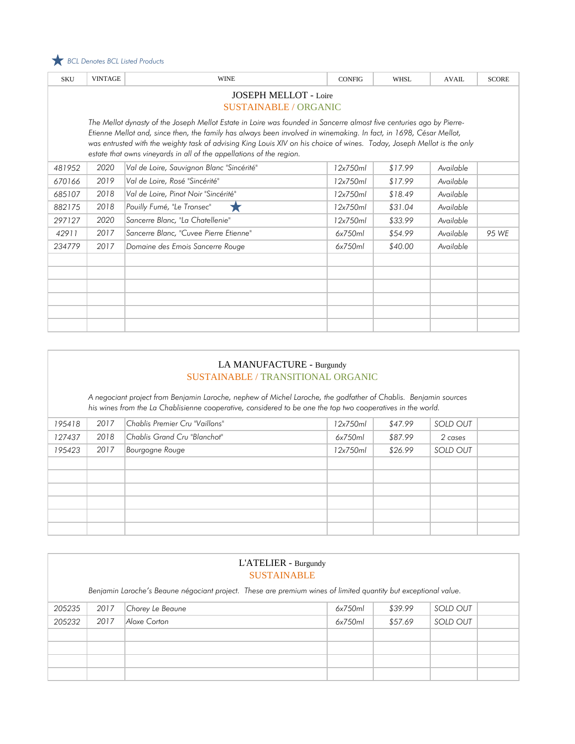

| <b>SKU</b>                   | <b>VINTAGE</b>                                                                                                       | <b>WINE</b>                                                                                                                                                                                     | <b>CONFIG</b> | <b>WHSL</b> | <b>AVAIL</b> | <b>SCORE</b> |  |  |  |
|------------------------------|----------------------------------------------------------------------------------------------------------------------|-------------------------------------------------------------------------------------------------------------------------------------------------------------------------------------------------|---------------|-------------|--------------|--------------|--|--|--|
| <b>JOSEPH MELLOT - Loire</b> |                                                                                                                      |                                                                                                                                                                                                 |               |             |              |              |  |  |  |
|                              | SUSTAINABLE / ORGANIC                                                                                                |                                                                                                                                                                                                 |               |             |              |              |  |  |  |
|                              | The Mellot dynasty of the Joseph Mellot Estate in Loire was founded in Sancerre almost five centuries ago by Pierre- |                                                                                                                                                                                                 |               |             |              |              |  |  |  |
|                              |                                                                                                                      | Etienne Mellot and, since then, the family has always been involved in winemaking. In fact, in 1698, César Mellot,                                                                              |               |             |              |              |  |  |  |
|                              |                                                                                                                      | was entrusted with the weighty task of advising King Louis XIV on his choice of wines. Today, Joseph Mellot is the only<br>estate that owns vineyards in all of the appellations of the region. |               |             |              |              |  |  |  |
| 481952                       | 2020                                                                                                                 | Val de Loire, Sauvignon Blanc "Sincérité"                                                                                                                                                       | 12x750ml      | \$17.99     | Available    |              |  |  |  |
| 670166                       | 2019                                                                                                                 | Val de Loire, Rosé "Sincérité"                                                                                                                                                                  | 12x750ml      | \$17.99     | Available    |              |  |  |  |
| 685107                       | 2018                                                                                                                 | Val de Loire, Pinot Noir "Sincérité"                                                                                                                                                            | 12x750ml      | \$18.49     | Available    |              |  |  |  |
| 882175                       | 2018                                                                                                                 | Pouilly Fumé, "Le Tronsec"<br>7.7                                                                                                                                                               | 12x750ml      | \$31.04     | Available    |              |  |  |  |
| 297127                       | 2020                                                                                                                 | Sancerre Blanc, "La Chatellenie"                                                                                                                                                                | 12x750ml      | \$33.99     | Available    |              |  |  |  |
| 42911                        | 2017                                                                                                                 | Sancerre Blanc, "Cuvee Pierre Etienne"                                                                                                                                                          | 6x750ml       | \$54.99     | Available    | 95 WE        |  |  |  |
| 234779                       | 2017                                                                                                                 | Domaine des Emois Sancerre Rouge                                                                                                                                                                | 6x750ml       | \$40.00     | Available    |              |  |  |  |
|                              |                                                                                                                      |                                                                                                                                                                                                 |               |             |              |              |  |  |  |
|                              |                                                                                                                      |                                                                                                                                                                                                 |               |             |              |              |  |  |  |
|                              |                                                                                                                      |                                                                                                                                                                                                 |               |             |              |              |  |  |  |
|                              |                                                                                                                      |                                                                                                                                                                                                 |               |             |              |              |  |  |  |
|                              |                                                                                                                      |                                                                                                                                                                                                 |               |             |              |              |  |  |  |
|                              |                                                                                                                      |                                                                                                                                                                                                 |               |             |              |              |  |  |  |

### LA MANUFACTURE - Burgundy SUSTAINABLE / TRANSITIONAL ORGANIC

*A negociant project from Benjamin Laroche, nephew of Michel Laroche, the godfather of Chablis. Benjamin sources his wines from the La Chablisienne cooperative, considered to be one the top two cooperatives in the world.*

| 195418 | 2017 | Chablis Premier Cru "Vaillons" | 12x750ml | \$47.99 | SOLD OUT |  |
|--------|------|--------------------------------|----------|---------|----------|--|
| 127437 | 2018 | Chablis Grand Cru "Blanchot"   | 6x750ml  | \$87.99 | 2 cases  |  |
| 195423 | 2017 | Bourgogne Rouge                | 12x750ml | \$26.99 | SOLD OUT |  |
|        |      |                                |          |         |          |  |
|        |      |                                |          |         |          |  |
|        |      |                                |          |         |          |  |
|        |      |                                |          |         |          |  |
|        |      |                                |          |         |          |  |
|        |      |                                |          |         |          |  |

| L'ATELIER - Burgundy<br><b>SUSTAINABLE</b> |      |                                                                                                                 |         |         |                 |  |  |
|--------------------------------------------|------|-----------------------------------------------------------------------------------------------------------------|---------|---------|-----------------|--|--|
|                                            |      | Benjamin Laroche's Beaune négociant project. These are premium wines of limited quantity but exceptional value. |         |         |                 |  |  |
| 205235                                     | 2017 | Chorey Le Beaune                                                                                                | 6x750ml | \$39.99 | <b>SOLD OUT</b> |  |  |
| 205232                                     | 2017 | Aloxe Corton                                                                                                    | 6x750ml | \$57.69 | SOLD OUT        |  |  |
|                                            |      |                                                                                                                 |         |         |                 |  |  |
|                                            |      |                                                                                                                 |         |         |                 |  |  |
|                                            |      |                                                                                                                 |         |         |                 |  |  |
|                                            |      |                                                                                                                 |         |         |                 |  |  |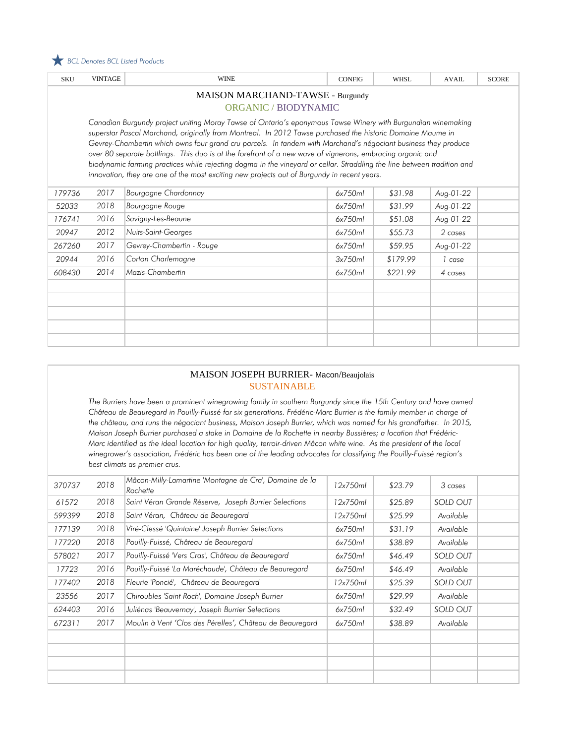

| <b>SKU</b>                                                                                                                                                                                                                                                                                                                                                                                                                                                                                                                                                                                                                                                                           | <b>VINTAGE</b> | <b>WINE</b>               | <b>CONFIG</b> | <b>WHSL</b> | <b>AVAIL</b> | <b>SCORE</b> |  |  |  |
|--------------------------------------------------------------------------------------------------------------------------------------------------------------------------------------------------------------------------------------------------------------------------------------------------------------------------------------------------------------------------------------------------------------------------------------------------------------------------------------------------------------------------------------------------------------------------------------------------------------------------------------------------------------------------------------|----------------|---------------------------|---------------|-------------|--------------|--------------|--|--|--|
| MAISON MARCHAND-TAWSE - Burgundy<br>ORGANIC / BIODYNAMIC                                                                                                                                                                                                                                                                                                                                                                                                                                                                                                                                                                                                                             |                |                           |               |             |              |              |  |  |  |
| Canadian Burgundy project uniting Moray Tawse of Ontario's eponymous Tawse Winery with Burgundian winemaking<br>superstar Pascal Marchand, originally from Montreal. In 2012 Tawse purchased the historic Domaine Maume in<br>Gevrey-Chambertin which owns four grand cru parcels. In tandem with Marchand's négociant business they produce<br>over 80 separate bottlings. This duo is at the forefront of a new wave of vignerons, embracing organic and<br>biodynamic farming practices while rejecting dogma in the vineyard or cellar. Straddling the line between tradition and<br>innovation, they are one of the most exciting new projects out of Burgundy in recent years. |                |                           |               |             |              |              |  |  |  |
| 179736                                                                                                                                                                                                                                                                                                                                                                                                                                                                                                                                                                                                                                                                               | 2017           | Bourgogne Chardonnay      | 6x750ml       | \$31.98     | Aug-01-22    |              |  |  |  |
| 52033                                                                                                                                                                                                                                                                                                                                                                                                                                                                                                                                                                                                                                                                                | 2018           | Bourgogne Rouge           | 6x750ml       | \$31.99     | Aug-01-22    |              |  |  |  |
| 176741                                                                                                                                                                                                                                                                                                                                                                                                                                                                                                                                                                                                                                                                               | 2016           | Savigny-Les-Beaune        | 6x750ml       | \$51.08     | Aug-01-22    |              |  |  |  |
| 20947                                                                                                                                                                                                                                                                                                                                                                                                                                                                                                                                                                                                                                                                                | 2012           | Nuits-Saint-Georges       | 6x750ml       | \$55.73     | 2 cases      |              |  |  |  |
| 267260                                                                                                                                                                                                                                                                                                                                                                                                                                                                                                                                                                                                                                                                               | 2017           | Gevrey-Chambertin - Rouge | 6x750ml       | \$59.95     | Aug-01-22    |              |  |  |  |
| 20944                                                                                                                                                                                                                                                                                                                                                                                                                                                                                                                                                                                                                                                                                | 2016           | Corton Charlemagne        | 3x750ml       | \$179.99    | 1 case       |              |  |  |  |
| 608430                                                                                                                                                                                                                                                                                                                                                                                                                                                                                                                                                                                                                                                                               | 2014           | Mazis-Chambertin          | 6x750ml       | \$221.99    | 4 cases      |              |  |  |  |
|                                                                                                                                                                                                                                                                                                                                                                                                                                                                                                                                                                                                                                                                                      |                |                           |               |             |              |              |  |  |  |
|                                                                                                                                                                                                                                                                                                                                                                                                                                                                                                                                                                                                                                                                                      |                |                           |               |             |              |              |  |  |  |
|                                                                                                                                                                                                                                                                                                                                                                                                                                                                                                                                                                                                                                                                                      |                |                           |               |             |              |              |  |  |  |
|                                                                                                                                                                                                                                                                                                                                                                                                                                                                                                                                                                                                                                                                                      |                |                           |               |             |              |              |  |  |  |
|                                                                                                                                                                                                                                                                                                                                                                                                                                                                                                                                                                                                                                                                                      |                |                           |               |             |              |              |  |  |  |

#### MAISON JOSEPH BURRIER- Macon/Beaujolais SUSTAINABLE

The Burriers have been a prominent winegrowing family in southern Burgundy since the 15th Century and have owned *Château de Beauregard in Pouilly-Fuissé for six generations. Frédéric-Marc Burrier is the family member in charge of the château, and runs the négociant business, Maison Joseph Burrier, which was named for his grandfather. In 2015, Maison Joseph Burrier purchased a stake in Domaine de la Rochette in nearby Bussières; a location that Frédéric-Marc identified as the ideal location for high quality, terroir-driven Mâcon white wine. As the president of the local winegrower's association, Frédéric has been one of the leading advocates for classifying the Pouilly-Fuissé region's best climats as premier crus.* 

| 370737 | 2018 | Mâcon-Milly-Lamartine 'Montagne de Cra', Domaine de la<br>Rochette | 12x750ml | \$23.79 | 3 cases         |  |
|--------|------|--------------------------------------------------------------------|----------|---------|-----------------|--|
| 61572  | 2018 | Saint Véran Grande Réserve, Joseph Burrier Selections              | 12x750ml | \$25.89 | SOLD OUT        |  |
| 599399 | 2018 | Saint Véran, Château de Beauregard                                 | 12x750ml | \$25.99 | Available       |  |
| 177139 | 2018 | Viré-Clessé 'Quintaine' Joseph Burrier Selections                  | 6x750ml  | \$31.19 | Available       |  |
| 177220 | 2018 | Pouilly-Fuissé, Château de Beauregard                              | 6x750ml  | \$38.89 | Available       |  |
| 578021 | 2017 | Pouilly-Fuissé 'Vers Cras', Château de Beauregard                  | 6x750ml  | \$46.49 | SOLD OUT        |  |
| 17723  | 2016 | Pouilly-Fuissé 'La Maréchaude', Château de Beauregard              | 6x750ml  | \$46.49 | Available       |  |
| 177402 | 2018 | Fleurie 'Poncié', Château de Beauregard                            | 12x750ml | \$25.39 | <b>SOLD OUT</b> |  |
| 23556  | 2017 | Chiroubles 'Saint Roch', Domaine Joseph Burrier                    | 6x750ml  | \$29.99 | Available       |  |
| 624403 | 2016 | Juliénas 'Beauvernay', Joseph Burrier Selections                   | 6x750ml  | \$32.49 | SOLD OUT        |  |
| 672311 | 2017 | Moulin à Vent 'Clos des Pérelles', Château de Beauregard           | 6x750ml  | \$38.89 | Available       |  |
|        |      |                                                                    |          |         |                 |  |
|        |      |                                                                    |          |         |                 |  |
|        |      |                                                                    |          |         |                 |  |
|        |      |                                                                    |          |         |                 |  |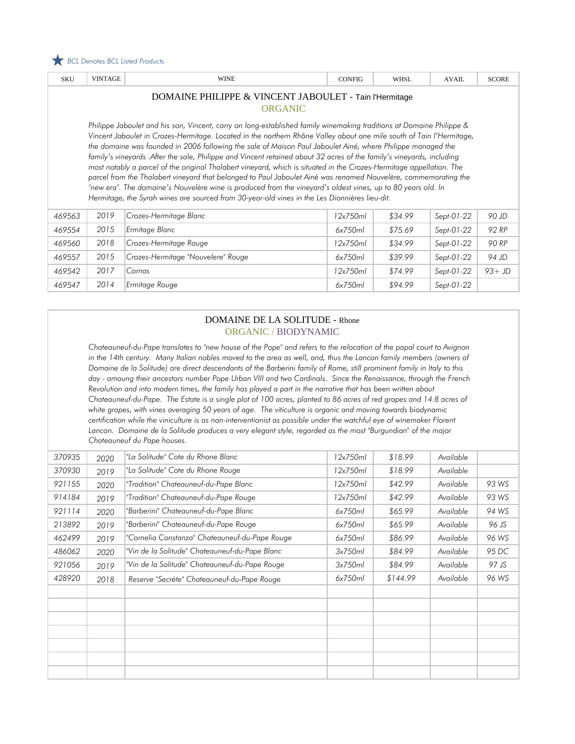

| <b>SKU</b>                                                                                                                                                                                                                                                                                                                                                                                                                                                                                                                                                                                                                                                                                                                                                                                                                                                                                                                                       | <b>VINTAGE</b> | <b>WINE</b>                        | <b>CONFIG</b> | <b>WHSL</b> | <b>AVAIL</b> | <b>SCORE</b> |  |  |  |
|--------------------------------------------------------------------------------------------------------------------------------------------------------------------------------------------------------------------------------------------------------------------------------------------------------------------------------------------------------------------------------------------------------------------------------------------------------------------------------------------------------------------------------------------------------------------------------------------------------------------------------------------------------------------------------------------------------------------------------------------------------------------------------------------------------------------------------------------------------------------------------------------------------------------------------------------------|----------------|------------------------------------|---------------|-------------|--------------|--------------|--|--|--|
| DOMAINE PHILIPPE & VINCENT JABOULET - Tain l'Hermitage<br><b>ORGANIC</b>                                                                                                                                                                                                                                                                                                                                                                                                                                                                                                                                                                                                                                                                                                                                                                                                                                                                         |                |                                    |               |             |              |              |  |  |  |
| Philippe Jaboulet and his son, Vincent, carry on long-established family winemaking traditions at Domaine Philippe &<br>Vincent Jaboulet in Crozes-Hermitage. Located in the northern Rhône Valley about one mile south of Tain l'Hermitage,<br>the domaine was founded in 2006 following the sale of Maison Paul Jaboulet Ainé, where Philippe managed the<br>family's vineyards .After the sale, Philippe and Vincent retained about 32 acres of the family's vineyards, including<br>most notably a parcel of the original Thalabert vineyard, which is situated in the Crozes-Hermitage appellation. The<br>parcel from the Thalabert vineyard that belonged to Paul Jaboulet Ainé was renamed Nouvelère, commemorating the<br>'new era'. The domaine's Nouvelère wine is produced from the vineyard's oldest vines, up to 80 years old. In<br>Hermitage, the Syrah wines are sourced from 30-year-old vines in the Les Dionnières lieu-dit. |                |                                    |               |             |              |              |  |  |  |
| 469563                                                                                                                                                                                                                                                                                                                                                                                                                                                                                                                                                                                                                                                                                                                                                                                                                                                                                                                                           | 2019           | Crozes-Hermitage Blanc             | 12x750ml      | \$34.99     | Sept-01-22   | 90 JD        |  |  |  |
| 469554                                                                                                                                                                                                                                                                                                                                                                                                                                                                                                                                                                                                                                                                                                                                                                                                                                                                                                                                           | 2015           | Ermitage Blanc                     | 6x750ml       | \$75.69     | Sept-01-22   | 92 RP        |  |  |  |
| 469560                                                                                                                                                                                                                                                                                                                                                                                                                                                                                                                                                                                                                                                                                                                                                                                                                                                                                                                                           | 2018           | Crozes-Hermitage Rouge             | 12x750ml      | \$34.99     | Sept-01-22   | 90 RP        |  |  |  |
| 469557                                                                                                                                                                                                                                                                                                                                                                                                                                                                                                                                                                                                                                                                                                                                                                                                                                                                                                                                           | 2015           | Crozes-Hermitage "Nouvelere" Rouge | 6x750ml       | \$39.99     | Sept-01-22   | 94 JD        |  |  |  |
| 469542                                                                                                                                                                                                                                                                                                                                                                                                                                                                                                                                                                                                                                                                                                                                                                                                                                                                                                                                           | 2017           | Cornas                             | 12x750ml      | \$74.99     | Sept-01-22   | $93+JD$      |  |  |  |
| 469547                                                                                                                                                                                                                                                                                                                                                                                                                                                                                                                                                                                                                                                                                                                                                                                                                                                                                                                                           | 2014           | Ermitage Rouge                     | 6x750ml       | \$94.99     | Sept-01-22   |              |  |  |  |

### DOMAINE DE LA SOLITUDE - Rhone ORGANIC / BIODYNAMIC

*Chateauneuf-du-Pape translates to "new house of the Pope" and refers to the relocation of the papal court to Avignon in the 14th century. Many Italian nobles moved to the area as well, and, thus the Lancon family members (owners of Domaine de la Solitude) are direct descendants of the Barberini family of Rome, still prominent family in Italy to this*  day - amoung their ancestors number Pope Urban VIII and two Cardinals. Since the Renaissance, through the French *Revolution and into modern times, the family has played a part in the narrative that has been written about* Chateauneuf-du-Pape. The Estate is a single plot of 100 acres, planted to 86 acres of red grapes and 14.8 acres of *white grapes, with vines averaging 50 years of age. The viticulture is organic and moving towards biodynamic certification while the viniculture is as non-interventionist as possible under the watchful eye of winemaker Florent Lancon. Domaine de la Solitude produces a very elegant style, regarded as the most "Burgundian" of the major Chateauneuf du Pape houses.*

| 370935 | 2020 | "La Solitude" Cote du Rhone Blanc              | 12x750ml | \$18.99  | Available |       |
|--------|------|------------------------------------------------|----------|----------|-----------|-------|
| 370930 | 2019 | "La Solitude" Cote du Rhone Rouge              | 12x750ml | \$18.99  | Available |       |
| 921155 | 2020 | "Tradition" Chateauneuf-du-Pape Blanc          | 12x750ml | \$42.99  | Available | 93 WS |
| 914184 | 2019 | "Tradition" Chateauneuf-du-Pape Rouge          | 12x750ml | \$42.99  | Available | 93 WS |
| 921114 | 2020 | "Barberini" Chateauneuf-du-Pape Blanc          | 6x750ml  | \$65.99  | Available | 94 WS |
| 213892 | 2019 | "Barberini" Chateauneuf-du-Pape Rouge          | 6x750ml  | \$65.99  | Available | 96 JS |
| 462499 | 2019 | "Cornelia Constanza" Chateauneuf-du-Pape Rouge | 6x750ml  | \$86.99  | Available | 96 WS |
| 486062 | 2020 | "Vin de la Solitude" Chateauneuf-du-Pape Blanc | 3x750ml  | \$84.99  | Available | 95 DC |
| 921056 | 2019 | "Vin de la Solitude" Chateauneuf-du-Pape Rouge | 3x750ml  | \$84.99  | Available | 97 JS |
| 428920 | 2018 | Reserve "Secréte" Chateauneuf-du-Pape Rouge    | 6x750ml  | \$144.99 | Available | 96 WS |
|        |      |                                                |          |          |           |       |
|        |      |                                                |          |          |           |       |
|        |      |                                                |          |          |           |       |
|        |      |                                                |          |          |           |       |
|        |      |                                                |          |          |           |       |
|        |      |                                                |          |          |           |       |
|        |      |                                                |          |          |           |       |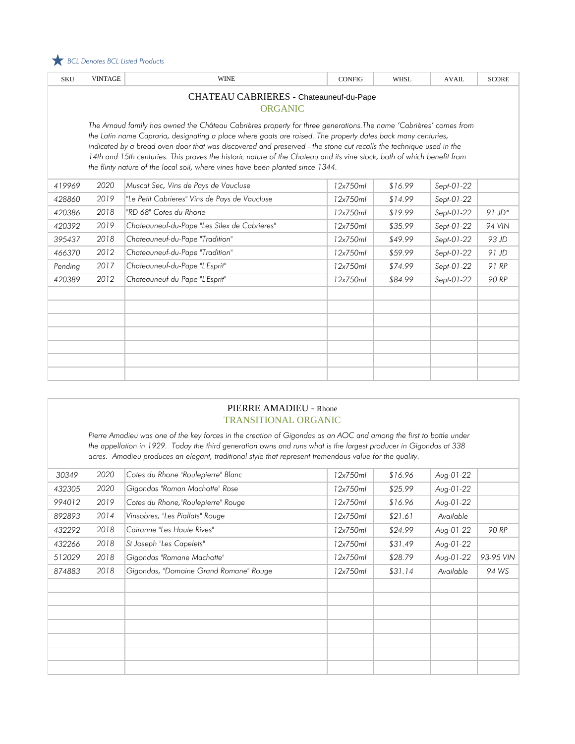

| <b>SKU</b>                                                                                                                                                                                                                                                                                                                                                                                                                                                                                                                                                         | <b>VINTAGE</b>                          | <b>WINE</b>                                   | <b>CONFIG</b> | <b>WHSL</b> | <b>AVAIL</b> | <b>SCORE</b>  |  |  |  |  |
|--------------------------------------------------------------------------------------------------------------------------------------------------------------------------------------------------------------------------------------------------------------------------------------------------------------------------------------------------------------------------------------------------------------------------------------------------------------------------------------------------------------------------------------------------------------------|-----------------------------------------|-----------------------------------------------|---------------|-------------|--------------|---------------|--|--|--|--|
|                                                                                                                                                                                                                                                                                                                                                                                                                                                                                                                                                                    | CHATEAU CABRIERES - Chateauneuf-du-Pape |                                               |               |             |              |               |  |  |  |  |
|                                                                                                                                                                                                                                                                                                                                                                                                                                                                                                                                                                    | <b>ORGANIC</b>                          |                                               |               |             |              |               |  |  |  |  |
| The Arnaud family has owned the Château Cabrières property for three generations.The name 'Cabrières' comes from<br>the Latin name Capraria, designating a place where goats are raised. The property dates back many centuries,<br>indicated by a bread oven door that was discovered and preserved - the stone cut recalls the technique used in the<br>14th and 15th centuries. This proves the historic nature of the Chateau and its vine stock, both of which benefit from<br>the flinty nature of the local soil, where vines have been planted since 1344. |                                         |                                               |               |             |              |               |  |  |  |  |
| 419969                                                                                                                                                                                                                                                                                                                                                                                                                                                                                                                                                             | 2020                                    | Muscat Sec, Vins de Pays de Vaucluse          | 12x750ml      | \$16.99     | Sept-01-22   |               |  |  |  |  |
| 428860                                                                                                                                                                                                                                                                                                                                                                                                                                                                                                                                                             | 2019                                    | "Le Petit Cabrieres" Vins de Pays de Vaucluse | 12x750ml      | \$14.99     | Sept-01-22   |               |  |  |  |  |
| 420386                                                                                                                                                                                                                                                                                                                                                                                                                                                                                                                                                             | 2018                                    | "RD 68" Cotes du Rhone                        | 12x750ml      | \$19.99     | Sept-01-22   | $91$ JD*      |  |  |  |  |
| 420392                                                                                                                                                                                                                                                                                                                                                                                                                                                                                                                                                             | 2019                                    | Chateauneuf-du-Pape "Les Silex de Cabrieres"  | 12x750ml      | \$35.99     | Sept-01-22   | <b>94 VIN</b> |  |  |  |  |
| 395437                                                                                                                                                                                                                                                                                                                                                                                                                                                                                                                                                             | 2018                                    | Chateauneuf-du-Pape "Tradition"               | 12x750ml      | \$49.99     | Sept-01-22   | 93 JD         |  |  |  |  |
| 466370                                                                                                                                                                                                                                                                                                                                                                                                                                                                                                                                                             | 2012                                    | Chateauneuf-du-Pape "Tradition"               | 12x750ml      | \$59.99     | Sept-01-22   | $91$ JD       |  |  |  |  |
| Pending                                                                                                                                                                                                                                                                                                                                                                                                                                                                                                                                                            | 2017                                    | Chateauneuf-du-Pape "L'Esprit"                | 12x750ml      | \$74.99     | Sept-01-22   | 91 RP         |  |  |  |  |
| 420389                                                                                                                                                                                                                                                                                                                                                                                                                                                                                                                                                             | 2012                                    | Chateauneuf-du-Pape "L'Esprit"                | 12x750ml      | \$84.99     | Sept-01-22   | 90 RP         |  |  |  |  |
|                                                                                                                                                                                                                                                                                                                                                                                                                                                                                                                                                                    |                                         |                                               |               |             |              |               |  |  |  |  |
|                                                                                                                                                                                                                                                                                                                                                                                                                                                                                                                                                                    |                                         |                                               |               |             |              |               |  |  |  |  |
|                                                                                                                                                                                                                                                                                                                                                                                                                                                                                                                                                                    |                                         |                                               |               |             |              |               |  |  |  |  |
|                                                                                                                                                                                                                                                                                                                                                                                                                                                                                                                                                                    |                                         |                                               |               |             |              |               |  |  |  |  |
|                                                                                                                                                                                                                                                                                                                                                                                                                                                                                                                                                                    |                                         |                                               |               |             |              |               |  |  |  |  |
|                                                                                                                                                                                                                                                                                                                                                                                                                                                                                                                                                                    |                                         |                                               |               |             |              |               |  |  |  |  |
|                                                                                                                                                                                                                                                                                                                                                                                                                                                                                                                                                                    |                                         |                                               |               |             |              |               |  |  |  |  |

### PIERRE AMADIEU - Rhone TRANSITIONAL ORGANIC

*Pierre Amadieu was one of the key forces in the creation of Gigondas as an AOC and among the first to bottle under the appellation in 1929. Today the third generation owns and runs what is the largest producer in Gigondas at 338 acres. Amadieu produces an elegant, traditional style that represent tremendous value for the quality.*

| 30349  | 2020 | Cotes du Rhone "Roulepierre" Blanc     | 12x750ml | \$16.96 | Aug-01-22 |           |
|--------|------|----------------------------------------|----------|---------|-----------|-----------|
| 432305 | 2020 | Gigondas "Roman Machotte" Rose         | 12x750ml | \$25.99 | Aug-01-22 |           |
| 994012 | 2019 | Cotes du Rhone, "Roulepierre" Rouge    | 12x750ml | \$16.96 | Aug-01-22 |           |
| 892893 | 2014 | Vinsobres, "Les Piallats" Rouge        | 12x750ml | \$21.61 | Available |           |
| 432292 | 2018 | Cairanne "Les Haute Rives"             | 12x750ml | \$24.99 | Aug-01-22 | 90 RP     |
| 432266 | 2018 | St Joseph "Les Capelets"               | 12x750ml | \$31.49 | Aug-01-22 |           |
| 512029 | 2018 | Gigondas "Romane Machotte"             | 12x750ml | \$28.79 | Aug-01-22 | 93-95 VIN |
| 874883 | 2018 | Gigondas, "Domaine Grand Romane" Rouge | 12x750ml | \$31.14 | Available | 94 WS     |
|        |      |                                        |          |         |           |           |
|        |      |                                        |          |         |           |           |
|        |      |                                        |          |         |           |           |
|        |      |                                        |          |         |           |           |
|        |      |                                        |          |         |           |           |
|        |      |                                        |          |         |           |           |
|        |      |                                        |          |         |           |           |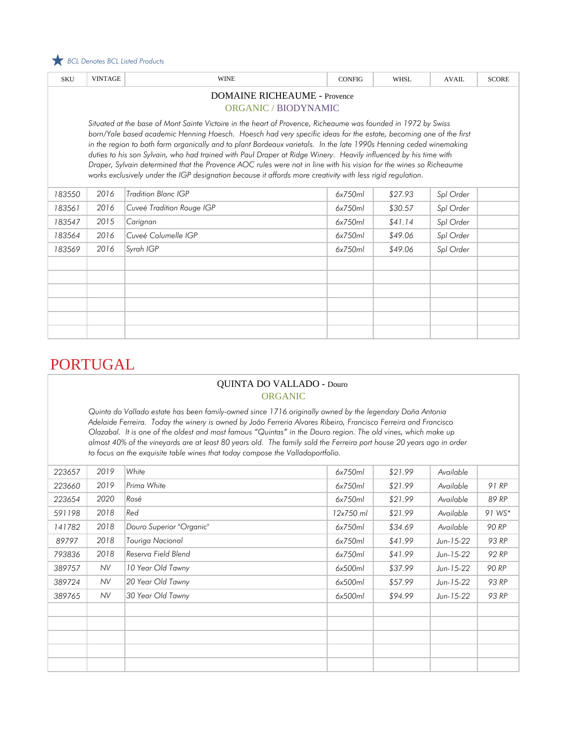

| <b>SKU</b>                                                                                                                                                                                                                                                                                                                                                                                                                                                                                                                                                                                                                                                                                                       | <b>VINTAGE</b> | <b>WINE</b>               | <b>CONFIG</b> | <b>WHSL</b> | <b>AVAIL</b> | <b>SCORE</b> |  |  |
|------------------------------------------------------------------------------------------------------------------------------------------------------------------------------------------------------------------------------------------------------------------------------------------------------------------------------------------------------------------------------------------------------------------------------------------------------------------------------------------------------------------------------------------------------------------------------------------------------------------------------------------------------------------------------------------------------------------|----------------|---------------------------|---------------|-------------|--------------|--------------|--|--|
| <b>DOMAINE RICHEAUME - Provence</b><br><b>ORGANIC / BIODYNAMIC</b>                                                                                                                                                                                                                                                                                                                                                                                                                                                                                                                                                                                                                                               |                |                           |               |             |              |              |  |  |
| Situated at the base of Mont Sainte Victoire in the heart of Provence, Richeaume was founded in 1972 by Swiss<br>born/Yale based academic Henning Hoesch. Hoesch had very specific ideas for the estate, becoming one of the first<br>in the region to both farm organically and to plant Bordeaux varietals. In the late 1990s Henning ceded winemaking<br>duties to his son Sylvain, who had trained with Paul Draper at Ridge Winery. Heavily influenced by his time with<br>Draper, Sylvain determined that the Provence AOC rules were not in line with his vision for the wines so Richeaume<br>works exclusively under the IGP designation because it affords more creativity with less rigid regulation. |                |                           |               |             |              |              |  |  |
| 183550                                                                                                                                                                                                                                                                                                                                                                                                                                                                                                                                                                                                                                                                                                           | 2016           | Tradition Blanc IGP       | 6x750ml       | \$27.93     | Spl Order    |              |  |  |
| 183561                                                                                                                                                                                                                                                                                                                                                                                                                                                                                                                                                                                                                                                                                                           | 2016           | Cuveé Tradition Rouge IGP | 6x750ml       | \$30.57     | Spl Order    |              |  |  |
| 183547                                                                                                                                                                                                                                                                                                                                                                                                                                                                                                                                                                                                                                                                                                           | 2015           | Carignan                  | 6x750ml       | \$41.14     | Spl Order    |              |  |  |
| 183564                                                                                                                                                                                                                                                                                                                                                                                                                                                                                                                                                                                                                                                                                                           | 2016           | Cuveé Columelle IGP       | 6x750ml       | \$49.06     | Spl Order    |              |  |  |
| 183569                                                                                                                                                                                                                                                                                                                                                                                                                                                                                                                                                                                                                                                                                                           | 2016           | Syrah IGP                 | 6x750ml       | \$49.06     | Spl Order    |              |  |  |
|                                                                                                                                                                                                                                                                                                                                                                                                                                                                                                                                                                                                                                                                                                                  |                |                           |               |             |              |              |  |  |
|                                                                                                                                                                                                                                                                                                                                                                                                                                                                                                                                                                                                                                                                                                                  |                |                           |               |             |              |              |  |  |
|                                                                                                                                                                                                                                                                                                                                                                                                                                                                                                                                                                                                                                                                                                                  |                |                           |               |             |              |              |  |  |
|                                                                                                                                                                                                                                                                                                                                                                                                                                                                                                                                                                                                                                                                                                                  |                |                           |               |             |              |              |  |  |

# PORTUGAL

### QUINTA DO VALLADO - Douro ORGANIC

*Quinta do Vallado estate has been family-owned since 1716 originally owned by the legendary Doña Antonia Adelaide Ferreira. Today the winery is owned by João Ferreria Alvares Ribeiro, Francisco Ferreira and Francisco Olazabal. It is one of the oldest and most famous "Quintas" in the Douro region. The old vines, which make up almost 40% of the vineyards are at least 80 years old. The family sold the Ferreira port house 20 years ago in order to focus on the exquisite table wines that today compose the Valladoportfolio.*

| 223657 | 2019 | White                    | 6x750ml   | \$21.99 | Available   |        |
|--------|------|--------------------------|-----------|---------|-------------|--------|
| 223660 | 2019 | Prima White              | 6x750ml   | \$21.99 | Available   | 91 RP  |
| 223654 | 2020 | Rosé                     | 6x750ml   | \$21.99 | Available   | 89 RP  |
| 591198 | 2018 | Red                      | 12x750 ml | \$21.99 | Available   | 91 WS* |
| 141782 | 2018 | Douro Superior "Organic" | 6x750ml   | \$34.69 | Available   | 90 RP  |
| 89797  | 2018 | Touriga Nacional         | 6x750ml   | \$41.99 | $Jun-15-22$ | 93 RP  |
| 793836 | 2018 | Reserva Field Blend      | 6x750ml   | \$41.99 | Jun-15-22   | 92 RP  |
| 389757 | NV.  | 10 Year Old Tawny        | 6x500ml   | \$37.99 | Jun-15-22   | 90 RP  |
| 389724 | NV.  | 20 Year Old Tawny        | 6x500ml   | \$57.99 | Jun-15-22   | 93 RP  |
| 389765 | NV.  | 30 Year Old Tawny        | 6x500ml   | \$94.99 | $Jun-15-22$ | 93 RP  |
|        |      |                          |           |         |             |        |
|        |      |                          |           |         |             |        |
|        |      |                          |           |         |             |        |
|        |      |                          |           |         |             |        |
|        |      |                          |           |         |             |        |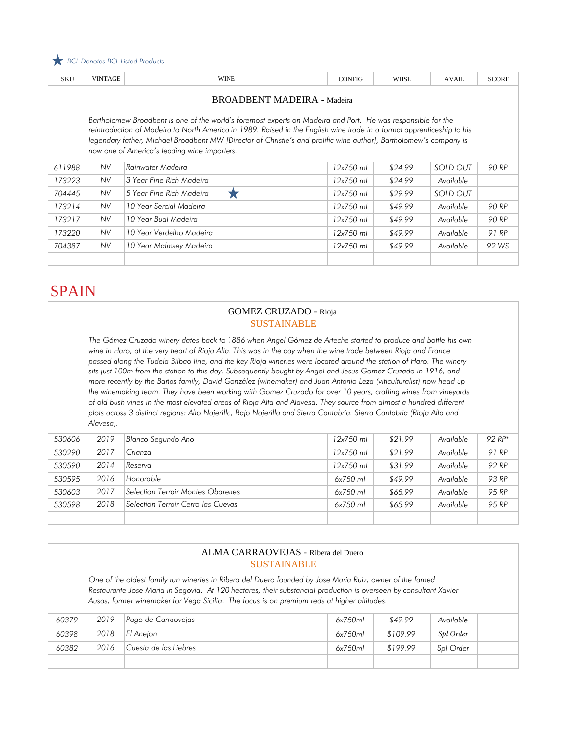

| <b>SKU</b>                                                                                                                                                                                                                                                                                                                                                                                                   | <b>VINTAGE</b> | <b>WINE</b>              | <b>CONFIG</b> | <b>WHSL</b> | <b>AVAIL</b> | <b>SCORE</b> |  |  |
|--------------------------------------------------------------------------------------------------------------------------------------------------------------------------------------------------------------------------------------------------------------------------------------------------------------------------------------------------------------------------------------------------------------|----------------|--------------------------|---------------|-------------|--------------|--------------|--|--|
| <b>BROADBENT MADEIRA - Madeira</b>                                                                                                                                                                                                                                                                                                                                                                           |                |                          |               |             |              |              |  |  |
| Bartholomew Broadbent is one of the world's foremost experts on Madeira and Port. He was responsible for the<br>reintroduction of Madeira to North America in 1989. Raised in the English wine trade in a formal apprenticeship to his<br>legendary father, Michael Broadbent MW [Director of Christie's and prolific wine author], Bartholomew's company is<br>now one of America's leading wine importers. |                |                          |               |             |              |              |  |  |
| 611988                                                                                                                                                                                                                                                                                                                                                                                                       | NV.            | Rainwater Madeira        | $12x750$ ml   | \$24.99     | SOLD OUT     | 90 RP        |  |  |
| 173223                                                                                                                                                                                                                                                                                                                                                                                                       | <b>NV</b>      | 3 Year Fine Rich Madeira | $12x750$ ml   | \$24.99     | Available    |              |  |  |
| 704445                                                                                                                                                                                                                                                                                                                                                                                                       | NV.            | 5 Year Fine Rich Madeira | 12x750 ml     | \$29.99     | SOLD OUT     |              |  |  |
| 173214                                                                                                                                                                                                                                                                                                                                                                                                       | NV.            | 10 Year Sercial Madeira  | $12x750$ ml   | \$49.99     | Available    | 90 RP        |  |  |
| 173217                                                                                                                                                                                                                                                                                                                                                                                                       | NV.            | 10 Year Bual Madeira     | $12x750$ ml   | \$49.99     | Available    | 90 RP        |  |  |
| 173220                                                                                                                                                                                                                                                                                                                                                                                                       | NV.            | 10 Year Verdelho Madeira | $12x750$ ml   | \$49.99     | Available    | 91 RP        |  |  |
| 704387                                                                                                                                                                                                                                                                                                                                                                                                       | NV.            | 10 Year Malmsey Madeira  | 12x750 ml     | \$49.99     | Available    | 92 WS        |  |  |
|                                                                                                                                                                                                                                                                                                                                                                                                              |                |                          |               |             |              |              |  |  |

# **SPAIN**

#### GOMEZ CRUZADO - Rioja SUSTAINABLE

*The Gómez Cruzado winery dates back to 1886 when Angel Gómez de Arteche started to produce and bottle his own wine in Haro, at the very heart of Rioja Alta. This was in the day when the wine trade between Rioja and France passed along the Tudela-Bilbao line, and the key Rioja wineries were located around the station of Haro. The winery sits just 100m from the station to this day. Subsequently bought by Angel and Jesus Gomez Cruzado in 1916, and more recently by the Baños family, David González (winemaker) and Juan Antonio Leza (viticulturalist) now head up the winemaking team. They have been working with Gomez Cruzado for over 10 years, crafting wines from vineyards of old bush vines in the most elevated areas of Rioja Alta and Alavesa. They source from almost a hundred different plots across 3 distinct regions: Alto Najerilla, Bajo Najerilla and Sierra Cantabria. Sierra Cantabria (Rioja Alta and Alavesa).*

| 530606 | 2019 | Blanco Segundo Ano                 | $12x750$ ml | \$21.99 | Available | $92 RP*$ |
|--------|------|------------------------------------|-------------|---------|-----------|----------|
| 530290 | 2017 | Crianza                            | 12x750 ml   | \$21.99 | Available | 91 RP    |
| 530590 | 2014 | Reserva                            | 12x750 ml   | \$31.99 | Available | 92 RP    |
| 530595 | 2016 | Honorable                          | $6x750$ ml  | \$49.99 | Available | 93 RP    |
| 530603 | 2017 | Selection Terroir Montes Obarenes  | $6x750$ ml  | \$65.99 | Available | 95 RP    |
| 530598 | 2018 | Selection Terroir Cerro las Cuevas | $6x750$ ml  | \$65.99 | Available | 95 RP    |
|        |      |                                    |             |         |           |          |

#### ALMA CARRAOVEJAS - Ribera del Duero SUSTAINABLE

*One of the oldest family run wineries in Ribera del Duero founded by Jose Maria Ruiz, owner of the famed Restaurante Jose Maria in Segovia. At 120 hectares, their substancial production is overseen by consultant Xavier Ausas, former winemaker for Vega Sicilia. The focus is on premium reds at higher altitudes.*

| 60379 | 2019 | Pago de Carraovejas   | 6x750ml | \$49.99  | Available |  |
|-------|------|-----------------------|---------|----------|-----------|--|
| 60398 | 2018 | El Aneion             | 6x750ml | \$109.99 | Spl Order |  |
| 60382 | 2016 | Cuesta de las Liebres | 6x750ml | \$199.99 | Spl Order |  |
|       |      |                       |         |          |           |  |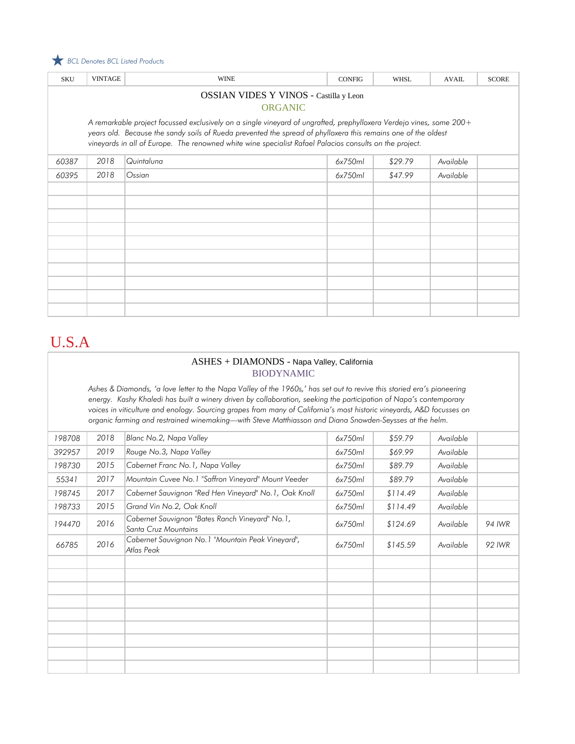

| <b>SKU</b>                             | <b>VINTAGE</b> | <b>WINE</b>                                                                                                                                                                                                              | <b>CONFIG</b> | <b>WHSL</b> | <b>AVAIL</b> | <b>SCORE</b> |  |  |  |
|----------------------------------------|----------------|--------------------------------------------------------------------------------------------------------------------------------------------------------------------------------------------------------------------------|---------------|-------------|--------------|--------------|--|--|--|
| OSSIAN VIDES Y VINOS - Castilla y Leon |                |                                                                                                                                                                                                                          |               |             |              |              |  |  |  |
|                                        | <b>ORGANIC</b> |                                                                                                                                                                                                                          |               |             |              |              |  |  |  |
|                                        |                | A remarkable project focussed exclusively on a single vineyard of ungrafted, prephylloxera Verdejo vines, some 200+                                                                                                      |               |             |              |              |  |  |  |
|                                        |                | years old. Because the sandy soils of Rueda prevented the spread of phylloxera this remains one of the oldest<br>vineyards in all of Europe. The renowned white wine specialist Rafael Palacios consults on the project. |               |             |              |              |  |  |  |
|                                        |                |                                                                                                                                                                                                                          |               |             |              |              |  |  |  |
| 60387                                  | 2018           | Quintaluna                                                                                                                                                                                                               | 6x750ml       | \$29.79     | Available    |              |  |  |  |
| 60395                                  | 2018           | Ossian                                                                                                                                                                                                                   | 6x750ml       | \$47.99     | Available    |              |  |  |  |
|                                        |                |                                                                                                                                                                                                                          |               |             |              |              |  |  |  |
|                                        |                |                                                                                                                                                                                                                          |               |             |              |              |  |  |  |
|                                        |                |                                                                                                                                                                                                                          |               |             |              |              |  |  |  |
|                                        |                |                                                                                                                                                                                                                          |               |             |              |              |  |  |  |
|                                        |                |                                                                                                                                                                                                                          |               |             |              |              |  |  |  |
|                                        |                |                                                                                                                                                                                                                          |               |             |              |              |  |  |  |
|                                        |                |                                                                                                                                                                                                                          |               |             |              |              |  |  |  |
|                                        |                |                                                                                                                                                                                                                          |               |             |              |              |  |  |  |
|                                        |                |                                                                                                                                                                                                                          |               |             |              |              |  |  |  |
|                                        |                |                                                                                                                                                                                                                          |               |             |              |              |  |  |  |

## U.S.A

#### ASHES + DIAMONDS - Napa Valley, California BIODYNAMIC

*Ashes & Diamonds, 'a love letter to the Napa Valley of the 1960s,' has set out to revive this storied era's pioneering energy. Kashy Khaledi has built a winery driven by collaboration, seeking the participation of Napa's contemporary voices in viticulture and enology. Sourcing grapes from many of California's most historic vineyards, A&D focusses on organic farming and restrained winemaking—with Steve Matthiasson and Diana Snowden-Seysses at the helm.*

| 198708 | 2018 | Blanc No.2, Napa Valley                                                 | 6x750ml | \$59.79  | Available |        |
|--------|------|-------------------------------------------------------------------------|---------|----------|-----------|--------|
| 392957 | 2019 | Rouge No.3, Napa Valley                                                 | 6x750ml | \$69.99  | Available |        |
| 198730 | 2015 | Cabernet Franc No. 1, Napa Valley                                       | 6x750ml | \$89.79  | Available |        |
| 55341  | 2017 | Mountain Cuvee No. 1 "Saffron Vineyard" Mount Veeder                    | 6x750ml | \$89.79  | Available |        |
| 198745 | 2017 | Cabernet Sauvignon "Red Hen Vineyard" No. 1, Oak Knoll                  | 6x750ml | \$114.49 | Available |        |
| 198733 | 2015 | Grand Vin No.2, Oak Knoll                                               | 6x750ml | \$114.49 | Available |        |
| 194470 | 2016 | Cabernet Sauvignon "Bates Ranch Vineyard" No.1,<br>Santa Cruz Mountains | 6x750ml | \$124.69 | Available | 94 IWR |
| 66785  | 2016 | Cabernet Sauvignon No. 1 "Mountain Peak Vineyard",<br>Atlas Peak        | 6x750ml | \$145.59 | Available | 92 IWR |
|        |      |                                                                         |         |          |           |        |
|        |      |                                                                         |         |          |           |        |
|        |      |                                                                         |         |          |           |        |
|        |      |                                                                         |         |          |           |        |
|        |      |                                                                         |         |          |           |        |
|        |      |                                                                         |         |          |           |        |
|        |      |                                                                         |         |          |           |        |
|        |      |                                                                         |         |          |           |        |
|        |      |                                                                         |         |          |           |        |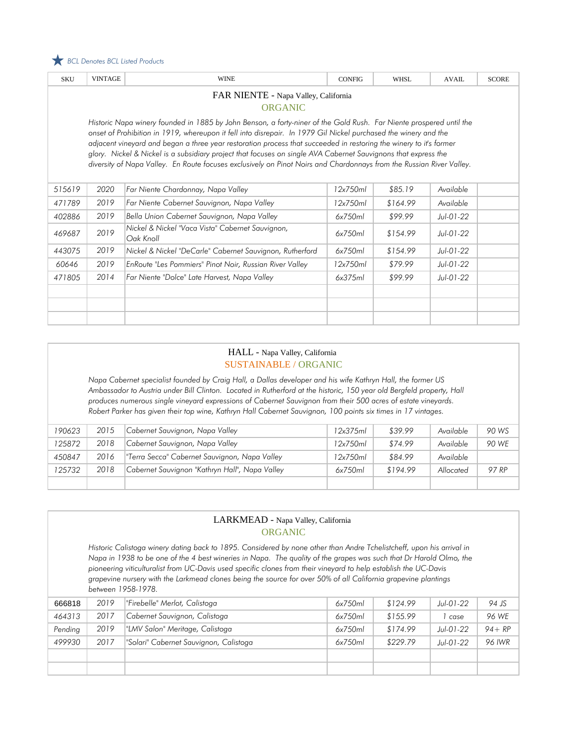

| <b>SKU</b>                                                                                                                                                                                                                                                                                                                                                                                                                                                                                                                                                                                             | <b>VINTAGE</b> | <b>WINE</b>                                                   | <b>CONFIG</b> | <b>WHSL</b> | <b>AVAIL</b> | <b>SCORE</b> |  |  |  |
|--------------------------------------------------------------------------------------------------------------------------------------------------------------------------------------------------------------------------------------------------------------------------------------------------------------------------------------------------------------------------------------------------------------------------------------------------------------------------------------------------------------------------------------------------------------------------------------------------------|----------------|---------------------------------------------------------------|---------------|-------------|--------------|--------------|--|--|--|
| FAR NIENTE - Napa Valley, California<br><b>ORGANIC</b>                                                                                                                                                                                                                                                                                                                                                                                                                                                                                                                                                 |                |                                                               |               |             |              |              |  |  |  |
| Historic Napa winery founded in 1885 by John Benson, a forty-niner of the Gold Rush. Far Niente prospered until the<br>onset of Prohibition in 1919, whereupon it fell into disrepair. In 1979 Gil Nickel purchased the winery and the<br>adjacent vineyard and began a three year restoration process that succeeded in restoring the winery to it's former<br>glory. Nickel & Nickel is a subsidiary project that focuses on single AVA Cabernet Sauvignons that express the<br>diversity of Napa Valley. En Route focuses exclusively on Pinot Noirs and Chardonnays from the Russian River Valley. |                |                                                               |               |             |              |              |  |  |  |
| 515619                                                                                                                                                                                                                                                                                                                                                                                                                                                                                                                                                                                                 | 2020           | Far Niente Chardonnay, Napa Valley                            | 12x750ml      | \$85.19     | Available    |              |  |  |  |
| 471789                                                                                                                                                                                                                                                                                                                                                                                                                                                                                                                                                                                                 | 2019           | Far Niente Cabernet Sauvignon, Napa Valley                    | 12x750ml      | \$164.99    | Available    |              |  |  |  |
| 402886                                                                                                                                                                                                                                                                                                                                                                                                                                                                                                                                                                                                 | 2019           | Bella Union Cabernet Sauvignon, Napa Valley                   | 6x750ml       | \$99.99     | Jul-01-22    |              |  |  |  |
| 469687                                                                                                                                                                                                                                                                                                                                                                                                                                                                                                                                                                                                 | 2019           | Nickel & Nickel "Vaca Vista" Cabernet Sauvignon,<br>Oak Knoll | 6x750ml       | \$154.99    | Jul-01-22    |              |  |  |  |
| 443075                                                                                                                                                                                                                                                                                                                                                                                                                                                                                                                                                                                                 | 2019           | Nickel & Nickel "DeCarle" Cabernet Sauvignon, Rutherford      | 6x750ml       | \$154.99    | Jul-01-22    |              |  |  |  |
| 60646                                                                                                                                                                                                                                                                                                                                                                                                                                                                                                                                                                                                  | 2019           | EnRoute "Les Pommiers" Pinot Noir, Russian River Valley       | 12x750ml      | \$79.99     | Jul-01-22    |              |  |  |  |
| 471805                                                                                                                                                                                                                                                                                                                                                                                                                                                                                                                                                                                                 | 2014           | Far Niente "Dolce" Late Harvest, Napa Valley                  | 6x375ml       | \$99.99     | Jul-01-22    |              |  |  |  |
|                                                                                                                                                                                                                                                                                                                                                                                                                                                                                                                                                                                                        |                |                                                               |               |             |              |              |  |  |  |
|                                                                                                                                                                                                                                                                                                                                                                                                                                                                                                                                                                                                        |                |                                                               |               |             |              |              |  |  |  |
|                                                                                                                                                                                                                                                                                                                                                                                                                                                                                                                                                                                                        |                |                                                               |               |             |              |              |  |  |  |

#### HALL - Napa Valley, California SUSTAINABLE / ORGANIC

*Napa Cabernet specialist founded by Craig Hall, a Dallas developer and his wife Kathryn Hall, the former US Ambassador to Austria under Bill Clinton. Located in Rutherford at the historic, 150 year old Bergfeld property, Hall produces numerous single vineyard expressions of Cabernet Sauvignon from their 500 acres of estate vineyards. Robert Parker has given their top wine, Kathryn Hall Cabernet Sauvignon, 100 points six times in 17 vintages.* 

| 190623 | 2015 | Cabernet Sauvignon, Napa Valley                | 12x375ml | \$39.99  | Available | 90 WS |
|--------|------|------------------------------------------------|----------|----------|-----------|-------|
| 125872 | 2018 | Cabernet Sauvignon, Napa Valley                | 12x750ml | \$74.99  | Available | 90 WF |
| 450847 | 2016 | "Terra Secca" Cabernet Sauvignon, Napa Valley  | 12x750ml | \$84.99  | Available |       |
| 125732 | 2018 | Cabernet Sauvignon "Kathryn Hall", Napa Valley | 6x750ml  | \$194.99 | Allocated | 97 RP |
|        |      |                                                |          |          |           |       |

#### LARKMEAD - Napa Valley, California ORGANIC

*Historic Calistoga winery dating back to 1895. Considered by none other than Andre Tchelistcheff, upon his arrival in Napa in 1938 to be one of the 4 best wineries in Napa. The quality of the grapes was such that Dr Harold Olmo, the pioneering viticulturalist from UC-Davis used specific clones from their vineyard to help establish the UC-Davis grapevine nursery with the Larkmead clones being the source for over 50% of all California grapevine plantings between 1958-1978.* 

| 666818  | 2019 | "Firebelle" Merlot, Calistoga          | 6x750ml | \$124.99 | Jul-01-22 | 94 JS         |
|---------|------|----------------------------------------|---------|----------|-----------|---------------|
| 464313  | 2017 | Cabernet Sauvignon, Calistoga          | 6x750ml | \$155.99 | case      | 96 WE         |
| Pending | 2019 | "LMV Salon" Meritage, Calistoga        | 6x750ml | \$174.99 | Jul-01-22 | $94 + RP$     |
| 499930  | 2017 | "Solari" Cabernet Sauvignon, Calistoga | 6x750ml | \$229.79 | Jul-01-22 | <b>96 IWR</b> |
|         |      |                                        |         |          |           |               |
|         |      |                                        |         |          |           |               |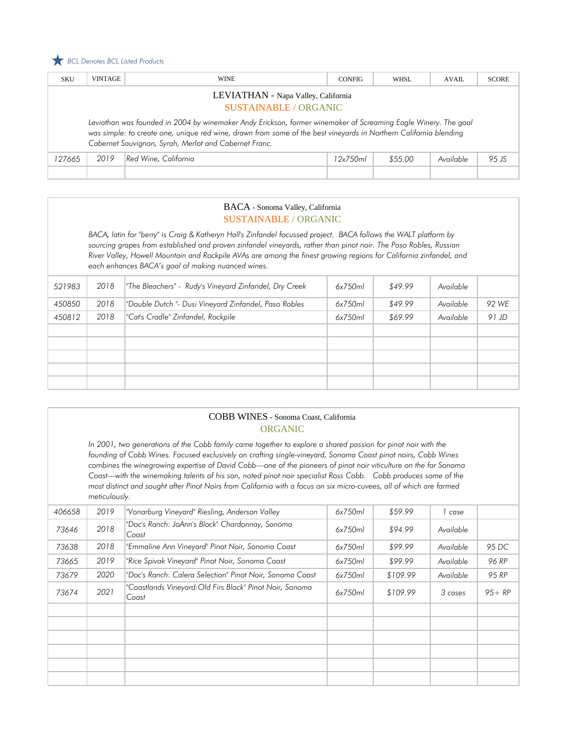#### *BCL Denotes BCL Listed Products*

| <b>SKU</b>                                                        | <b>VINTAGE</b>                                                                                                                                                                                                                                                                               | <b>WINE</b>          | <b>CONFIG</b> | WHSL    | AVAII.    | <b>SCORE</b> |  |
|-------------------------------------------------------------------|----------------------------------------------------------------------------------------------------------------------------------------------------------------------------------------------------------------------------------------------------------------------------------------------|----------------------|---------------|---------|-----------|--------------|--|
| LEVIATHAN - Napa Valley, California<br><b>SUSTAINABLE/ORGANIC</b> |                                                                                                                                                                                                                                                                                              |                      |               |         |           |              |  |
|                                                                   | Leviathan was founded in 2004 by winemaker Andy Erickson, former winemaker of Screaming Eagle Winery. The goal<br>was simple: to create one, unique red wine, drawn from some of the best vineyards in Northern California blending<br>Cabernet Sauvignon, Syrah, Merlot and Cabernet Franc. |                      |               |         |           |              |  |
| 127665                                                            | 2019                                                                                                                                                                                                                                                                                         | Red Wine, California | 12x750ml      | \$55.00 | Available | 95 JS        |  |
|                                                                   |                                                                                                                                                                                                                                                                                              |                      |               |         |           |              |  |

### BACA - Sonoma Valley, California SUSTAINABLE / ORGANIC

*BACA, latin for "berry" is Craig & Katheryn Hall's Zinfandel focussed project. BACA follows the WALT platform by sourcing grapes from established and proven zinfandel vineyards, rather than pinot noir. The Paso Robles, Russian River Valley, Howell Mountain and Rockpile AVAs are among the finest growing regions for California zinfandel, and each enhances BACA's goal of making nuanced wines.*

| 521983 | 2018 | The Bleachers" - Rudy's Vineyard Zinfandel, Dry Creek | 6x750ml | \$49.99 | Available |       |
|--------|------|-------------------------------------------------------|---------|---------|-----------|-------|
| 450850 | 2018 | "Double Dutch "- Dusi Vineyard Zinfandel, Paso Robles | 6x750ml | \$49.99 | Available | 92 WE |
| 450812 | 2018 | "Cat's Cradle" Zinfandel, Rockpile                    | 6x750ml | \$69.99 | Available | 91 JD |
|        |      |                                                       |         |         |           |       |
|        |      |                                                       |         |         |           |       |
|        |      |                                                       |         |         |           |       |
|        |      |                                                       |         |         |           |       |
|        |      |                                                       |         |         |           |       |

|        |                                                                                                                                                                                                                                                                                                                                                                                                                                                                                                                                                                                                               | COBB WINES - Sonoma Coast, California<br><b>ORGANIC</b>           |         |          |            |           |  |  |
|--------|---------------------------------------------------------------------------------------------------------------------------------------------------------------------------------------------------------------------------------------------------------------------------------------------------------------------------------------------------------------------------------------------------------------------------------------------------------------------------------------------------------------------------------------------------------------------------------------------------------------|-------------------------------------------------------------------|---------|----------|------------|-----------|--|--|
|        | In 2001, two generations of the Cobb family came together to explore a shared passion for pinot noir with the<br>founding of Cobb Wines. Focused exclusively on crafting single-vineyard, Sonoma Coast pinot noirs, Cobb Wines<br>combines the winegrowing expertise of David Cobb—one of the pioneers of pinot noir viticulture on the far Sonoma<br>Coast—with the winemaking talents of his son, noted pinot noir specialist Ross Cobb. Cobb produces some of the<br>most distinct and sought after Pinot Noirs from California with a focus on six micro-cuvees, all of which are farmed<br>meticulously. |                                                                   |         |          |            |           |  |  |
| 406658 | 2019                                                                                                                                                                                                                                                                                                                                                                                                                                                                                                                                                                                                          | "Vonarburg Vineyard" Riesling, Anderson Valley                    | 6x750ml | \$59.99  | $1 \ncase$ |           |  |  |
| 73646  | 2018                                                                                                                                                                                                                                                                                                                                                                                                                                                                                                                                                                                                          | "Doc's Ranch: JoAnn's Block" Chardonnay, Sonoma<br>Coast          | 6x750ml | \$94.99  | Available  |           |  |  |
| 73638  | 2018                                                                                                                                                                                                                                                                                                                                                                                                                                                                                                                                                                                                          | "Emmaline Ann Vineyard" Pinot Noir, Sonoma Coast                  | 6x750ml | \$99.99  | Available  | 95 DC     |  |  |
| 73665  | 2019                                                                                                                                                                                                                                                                                                                                                                                                                                                                                                                                                                                                          | "Rice Spivak Vineyard" Pinot Noir, Sonoma Coast                   | 6x750ml | \$99.99  | Available  | 96 RP     |  |  |
| 73679  | 2020                                                                                                                                                                                                                                                                                                                                                                                                                                                                                                                                                                                                          | "Doc's Ranch: Calera Selection" Pinot Noir, Sonoma Coast          | 6x750ml | \$109.99 | Available  | 95 RP     |  |  |
| 73674  | 2021                                                                                                                                                                                                                                                                                                                                                                                                                                                                                                                                                                                                          | "Coastlands Vineyard: Old Firs Block" Pinot Noir, Sonoma<br>Coast | 6x750ml | \$109.99 | 3 cases    | $95 + RP$ |  |  |
|        |                                                                                                                                                                                                                                                                                                                                                                                                                                                                                                                                                                                                               |                                                                   |         |          |            |           |  |  |
|        |                                                                                                                                                                                                                                                                                                                                                                                                                                                                                                                                                                                                               |                                                                   |         |          |            |           |  |  |
|        |                                                                                                                                                                                                                                                                                                                                                                                                                                                                                                                                                                                                               |                                                                   |         |          |            |           |  |  |
|        |                                                                                                                                                                                                                                                                                                                                                                                                                                                                                                                                                                                                               |                                                                   |         |          |            |           |  |  |
|        |                                                                                                                                                                                                                                                                                                                                                                                                                                                                                                                                                                                                               |                                                                   |         |          |            |           |  |  |
|        |                                                                                                                                                                                                                                                                                                                                                                                                                                                                                                                                                                                                               |                                                                   |         |          |            |           |  |  |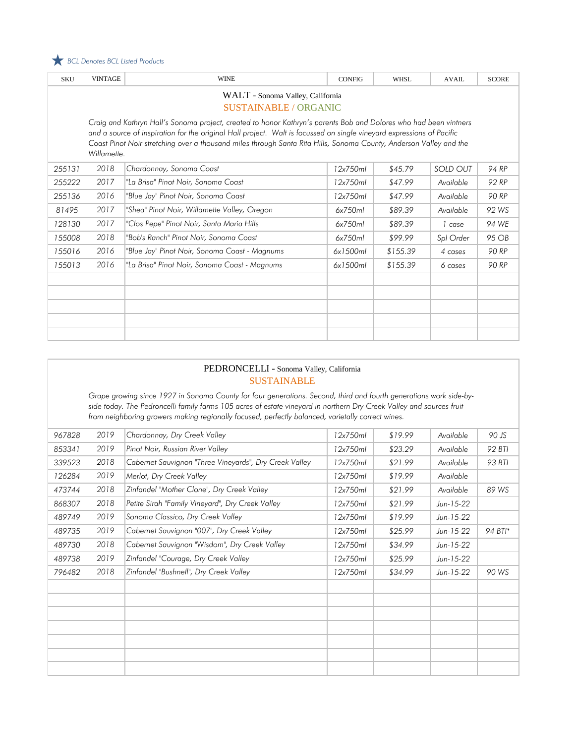

| <b>SKU</b>                                                                                                                                                                                                                                                                                                                                                                      | <b>VINTAGE</b> | <b>WINE</b>                                   | <b>CONFIG</b> | <b>WHSL</b> | <b>AVAIL</b>    | <b>SCORE</b> |  |  |
|---------------------------------------------------------------------------------------------------------------------------------------------------------------------------------------------------------------------------------------------------------------------------------------------------------------------------------------------------------------------------------|----------------|-----------------------------------------------|---------------|-------------|-----------------|--------------|--|--|
| WALT - Sonoma Valley, California<br><b>SUSTAINABLE / ORGANIC</b>                                                                                                                                                                                                                                                                                                                |                |                                               |               |             |                 |              |  |  |
| Craig and Kathryn Hall's Sonoma project, created to honor Kathryn's parents Bob and Dolores who had been vintners<br>and a source of inspiration for the original Hall project. Walt is focussed on single vineyard expressions of Pacific<br>Coast Pinot Noir stretching over a thousand miles through Santa Rita Hills, Sonoma County, Anderson Valley and the<br>Willamette. |                |                                               |               |             |                 |              |  |  |
| 255131                                                                                                                                                                                                                                                                                                                                                                          | 2018           | Chardonnay, Sonoma Coast                      | 12x750ml      | \$45.79     | <b>SOLD OUT</b> | 94 RP        |  |  |
| 255222                                                                                                                                                                                                                                                                                                                                                                          | 2017           | "La Brisa" Pinot Noir, Sonoma Coast           | 12x750ml      | \$47.99     | Available       | 92 RP        |  |  |
| 255136                                                                                                                                                                                                                                                                                                                                                                          | 2016           | "Blue Jay" Pinot Noir, Sonoma Coast           | 12x750ml      | \$47.99     | Available       | 90 RP        |  |  |
| 81495                                                                                                                                                                                                                                                                                                                                                                           | 2017           | "Shea" Pinot Noir, Willamette Valley, Oregon  | 6x750ml       | \$89.39     | Available       | 92 WS        |  |  |
| 128130                                                                                                                                                                                                                                                                                                                                                                          | 2017           | "Clos Pepe" Pinot Noir, Santa Maria Hills     | 6x750ml       | \$89.39     | 1 case          | 94 WE        |  |  |
| 155008                                                                                                                                                                                                                                                                                                                                                                          | 2018           | "Bob's Ranch" Pinot Noir, Sonoma Coast        | 6x750ml       | \$99.99     | Spl Order       | 95 OB        |  |  |
| 155016                                                                                                                                                                                                                                                                                                                                                                          | 2016           | "Blue Jay" Pinot Noir, Sonoma Coast - Magnums | 6x1500ml      | \$155.39    | 4 cases         | 90 RP        |  |  |
| 155013                                                                                                                                                                                                                                                                                                                                                                          | 2016           | "La Brisa" Pinot Noir, Sonoma Coast - Magnums | 6x1500ml      | \$155.39    | 6 cases         | 90 RP        |  |  |
|                                                                                                                                                                                                                                                                                                                                                                                 |                |                                               |               |             |                 |              |  |  |
|                                                                                                                                                                                                                                                                                                                                                                                 |                |                                               |               |             |                 |              |  |  |
|                                                                                                                                                                                                                                                                                                                                                                                 |                |                                               |               |             |                 |              |  |  |
|                                                                                                                                                                                                                                                                                                                                                                                 |                |                                               |               |             |                 |              |  |  |
|                                                                                                                                                                                                                                                                                                                                                                                 |                |                                               |               |             |                 |              |  |  |

#### PEDRONCELLI - Sonoma Valley, California SUSTAINABLE

*Grape growing since 1927 in Sonoma County for four generations. Second, third and fourth generations work side-byside today. The Pedroncelli family farms 105 acres of estate vineyard in northern Dry Creek Valley and sources fruit from neighboring growers making regionally focused, perfectly balanced, varietally correct wines.* 

| 967828 | 2019 | Chardonnay, Dry Creek Valley                           | 12x750ml | \$19.99 | Available   | 90 JS   |
|--------|------|--------------------------------------------------------|----------|---------|-------------|---------|
| 853341 | 2019 | Pinot Noir, Russian River Valley                       | 12x750ml | \$23.29 | Available   | 92 BTI  |
| 339523 | 2018 | Cabernet Sauvignon "Three Vineyards", Dry Creek Valley | 12x750ml | \$21.99 | Available   | 93 BTI  |
| 126284 | 2019 | Merlot, Dry Creek Valley                               | 12x750ml | \$19.99 | Available   |         |
| 473744 | 2018 | Zinfandel "Mother Clone", Dry Creek Valley             | 12x750ml | \$21.99 | Available   | 89 WS   |
| 868307 | 2018 | Petite Sirah "Family Vineyard", Dry Creek Valley       | 12x750ml | \$21.99 | Jun-15-22   |         |
| 489749 | 2019 | Sonoma Classico, Dry Creek Valley                      | 12x750ml | \$19.99 | $Jun-15-22$ |         |
| 489735 | 2019 | Cabernet Sauvignon "007", Dry Creek Valley             | 12x750ml | \$25.99 | $Jun-15-22$ | 94 BTI* |
| 489730 | 2018 | Cabernet Sauvignon "Wisdom", Dry Creek Valley          | 12x750ml | \$34.99 | $Jun-15-22$ |         |
| 489738 | 2019 | Zinfandel "Courage, Dry Creek Valley                   | 12x750ml | \$25.99 | Jun-15-22   |         |
| 796482 | 2018 | Zinfandel "Bushnell", Dry Creek Valley                 | 12x750ml | \$34.99 | Jun-15-22   | 90 WS   |
|        |      |                                                        |          |         |             |         |
|        |      |                                                        |          |         |             |         |
|        |      |                                                        |          |         |             |         |
|        |      |                                                        |          |         |             |         |
|        |      |                                                        |          |         |             |         |
|        |      |                                                        |          |         |             |         |
|        |      |                                                        |          |         |             |         |
|        |      |                                                        |          |         |             |         |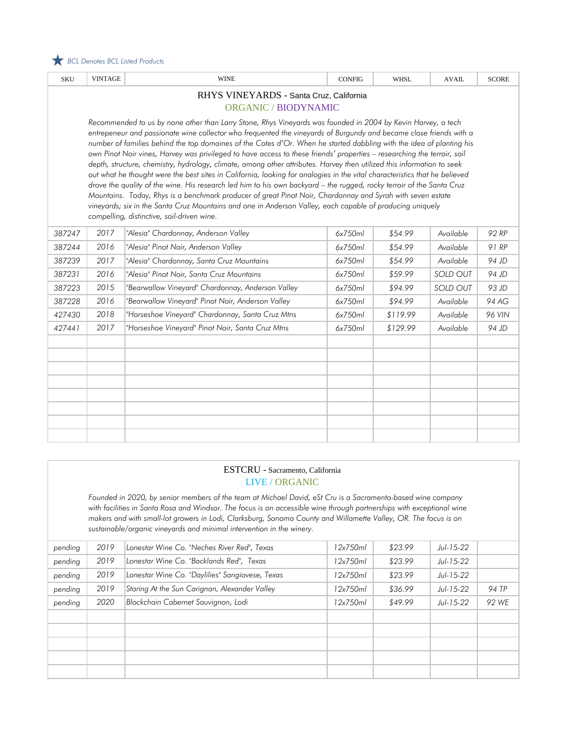

| <b>SKU</b>                                                                                                                                                                                                                                                                                                                                                                                                                                                                                                                                                                                                                                                                                                                                                                                                                                                                                                                                                                                                                                                                                                                                      | <b>VINTAGE</b> | <b>WINE</b>                                       | <b>CONFIG</b> | <b>WHSL</b> | <b>AVAIL</b>    | <b>SCORE</b> |  |  |
|-------------------------------------------------------------------------------------------------------------------------------------------------------------------------------------------------------------------------------------------------------------------------------------------------------------------------------------------------------------------------------------------------------------------------------------------------------------------------------------------------------------------------------------------------------------------------------------------------------------------------------------------------------------------------------------------------------------------------------------------------------------------------------------------------------------------------------------------------------------------------------------------------------------------------------------------------------------------------------------------------------------------------------------------------------------------------------------------------------------------------------------------------|----------------|---------------------------------------------------|---------------|-------------|-----------------|--------------|--|--|
| RHYS VINEYARDS - Santa Cruz, California<br>ORGANIC / BIODYNAMIC                                                                                                                                                                                                                                                                                                                                                                                                                                                                                                                                                                                                                                                                                                                                                                                                                                                                                                                                                                                                                                                                                 |                |                                                   |               |             |                 |              |  |  |
| Recommended to us by none other than Larry Stone, Rhys Vineyards was founded in 2004 by Kevin Harvey, a tech<br>entrepeneur and passionate wine collector who frequented the vineyards of Burgundy and became close friends with a<br>number of families behind the top domaines of the Cotes d'Or. When he started dabbling with the idea of planting his<br>own Pinot Noir vines, Harvey was privileged to have access to these friends' properties - researching the terroir, soil<br>depth, structure, chemistry, hydrology, climate, among other attributes. Harvey then utilized this information to seek<br>out what he thought were the best sites in California, looking for analogies in the vital characteristics that he believed<br>drove the quality of the wine. His research led him to his own backyard - the rugged, rocky terroir of the Santa Cruz<br>Mountains. Today, Rhys is a benchmark producer of great Pinot Noir, Chardonnay and Syrah with seven estate<br>vineyards; six in the Santa Cruz Mountains and one in Anderson Valley, each capable of producing uniquely<br>compelling, distinctive, soil-driven wine. |                |                                                   |               |             |                 |              |  |  |
| 387247                                                                                                                                                                                                                                                                                                                                                                                                                                                                                                                                                                                                                                                                                                                                                                                                                                                                                                                                                                                                                                                                                                                                          | 2017           | "Alesia" Chardonnay, Anderson Valley              | 6x750ml       | \$54.99     | Available       | 92 RP        |  |  |
| 387244                                                                                                                                                                                                                                                                                                                                                                                                                                                                                                                                                                                                                                                                                                                                                                                                                                                                                                                                                                                                                                                                                                                                          | 2016           | "Alesia" Pinot Noir, Anderson Valley              | 6x750ml       | \$54.99     | Available       | 91 RP        |  |  |
| 387239                                                                                                                                                                                                                                                                                                                                                                                                                                                                                                                                                                                                                                                                                                                                                                                                                                                                                                                                                                                                                                                                                                                                          | 2017           | "Alesia" Chardonnay, Santa Cruz Mountains         | 6x750ml       | \$54.99     | Available       | 94 JD        |  |  |
| 387231                                                                                                                                                                                                                                                                                                                                                                                                                                                                                                                                                                                                                                                                                                                                                                                                                                                                                                                                                                                                                                                                                                                                          | 2016           | "Alesia" Pinot Noir, Santa Cruz Mountains         | 6x750ml       | \$59.99     | SOLD OUT        | 94 JD        |  |  |
| 387223                                                                                                                                                                                                                                                                                                                                                                                                                                                                                                                                                                                                                                                                                                                                                                                                                                                                                                                                                                                                                                                                                                                                          | 2015           | "Bearwallow Vineyard" Chardonnay, Anderson Valley | 6x750ml       | \$94.99     | <b>SOLD OUT</b> | 93 JD        |  |  |
| 387228                                                                                                                                                                                                                                                                                                                                                                                                                                                                                                                                                                                                                                                                                                                                                                                                                                                                                                                                                                                                                                                                                                                                          | 2016           | "Bearwallow Vineyard" Pinot Noir, Anderson Valley | 6x750ml       | \$94.99     | Available       | 94 AG        |  |  |
| 427430                                                                                                                                                                                                                                                                                                                                                                                                                                                                                                                                                                                                                                                                                                                                                                                                                                                                                                                                                                                                                                                                                                                                          | 2018           | "Horseshoe Vineyard" Chardonnay, Santa Cruz Mtns  | 6x750ml       | \$119.99    | Available       | 96 VIN       |  |  |
| 427441                                                                                                                                                                                                                                                                                                                                                                                                                                                                                                                                                                                                                                                                                                                                                                                                                                                                                                                                                                                                                                                                                                                                          | 2017           | "Horseshoe Vineyard" Pinot Noir, Santa Cruz Mtns  | 6x750ml       | \$129.99    | Available       | 94 JD        |  |  |
|                                                                                                                                                                                                                                                                                                                                                                                                                                                                                                                                                                                                                                                                                                                                                                                                                                                                                                                                                                                                                                                                                                                                                 |                |                                                   |               |             |                 |              |  |  |
|                                                                                                                                                                                                                                                                                                                                                                                                                                                                                                                                                                                                                                                                                                                                                                                                                                                                                                                                                                                                                                                                                                                                                 |                |                                                   |               |             |                 |              |  |  |
|                                                                                                                                                                                                                                                                                                                                                                                                                                                                                                                                                                                                                                                                                                                                                                                                                                                                                                                                                                                                                                                                                                                                                 |                |                                                   |               |             |                 |              |  |  |
|                                                                                                                                                                                                                                                                                                                                                                                                                                                                                                                                                                                                                                                                                                                                                                                                                                                                                                                                                                                                                                                                                                                                                 |                |                                                   |               |             |                 |              |  |  |
|                                                                                                                                                                                                                                                                                                                                                                                                                                                                                                                                                                                                                                                                                                                                                                                                                                                                                                                                                                                                                                                                                                                                                 |                |                                                   |               |             |                 |              |  |  |

### ESTCRU - Sacramento, California LIVE / ORGANIC

*Founded in 2020, by senior members of the team at Michael David, eSt Cru is a Sacramento-based wine company*  with facilities in Santa Rosa and Windsor. The focus is on accessible wine through partnerships with exceptional wine *makers and with small-lot growers in Lodi, Clarksburg, Sonoma County and Willamette Valley, OR. The focus is on sustainable/organic vineyards and minimal intervention in the winery.*

| pending | 2019 | Lonestar Wine Co. "Neches River Red", Texas     | 12x750ml | \$23.99 | Jul-15-22 |       |
|---------|------|-------------------------------------------------|----------|---------|-----------|-------|
| pending | 2019 | Lonestar Wine Co. "Backlands Red", Texas        | 12x750ml | \$23.99 | Jul-15-22 |       |
| pending | 2019 | Lonestar Wine Co. "Daylilies" Sangiovese, Texas | 12x750ml | \$23.99 | Jul-15-22 |       |
| pending | 2019 | Staring At the Sun Carignan, Alexander Valley   | 12x750ml | \$36.99 | Jul-15-22 | 94 TP |
| pending | 2020 | Blockchain Cabernet Sauvignon, Lodi             | 12x750ml | \$49.99 | Jul-15-22 | 92 WF |
|         |      |                                                 |          |         |           |       |
|         |      |                                                 |          |         |           |       |
|         |      |                                                 |          |         |           |       |
|         |      |                                                 |          |         |           |       |
|         |      |                                                 |          |         |           |       |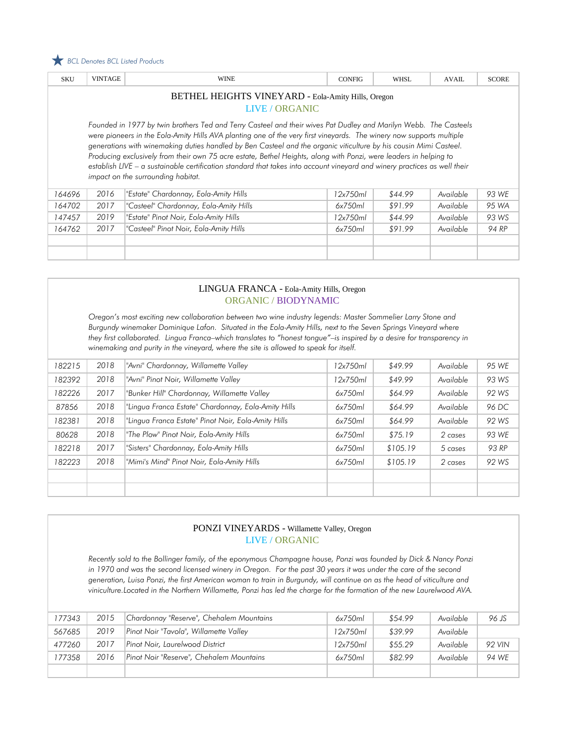

| <b>SKU</b>                                                                                                                                                                                                                                                                                                                                                                                                                                                                                                                                                                                                                                            | <b>VINTAGE</b> | <b>WINE</b>                            | <b>CONFIG</b> | <b>WHSL</b> | <b>AVAIL</b> | <b>SCORE</b> |  |  |  |
|-------------------------------------------------------------------------------------------------------------------------------------------------------------------------------------------------------------------------------------------------------------------------------------------------------------------------------------------------------------------------------------------------------------------------------------------------------------------------------------------------------------------------------------------------------------------------------------------------------------------------------------------------------|----------------|----------------------------------------|---------------|-------------|--------------|--------------|--|--|--|
| <b>BETHEL HEIGHTS VINEYARD - Eola-Amity Hills, Oregon</b><br>LIVE / ORGANIC                                                                                                                                                                                                                                                                                                                                                                                                                                                                                                                                                                           |                |                                        |               |             |              |              |  |  |  |
| Founded in 1977 by twin brothers Ted and Terry Casteel and their wives Pat Dudley and Marilyn Webb. The Casteels<br>were pioneers in the Eola-Amity Hills AVA planting one of the very first vineyards. The winery now supports multiple<br>generations with winemaking duties handled by Ben Casteel and the organic viticulture by his cousin Mimi Casteel.<br>Producing exclusively from their own 75 acre estate, Bethel Heights, along with Ponzi, were leaders in helping to<br>establish LIVE - a sustainable certification standard that takes into account vineyard and winery practices as well their<br>impact on the surrounding habitat. |                |                                        |               |             |              |              |  |  |  |
| 164696                                                                                                                                                                                                                                                                                                                                                                                                                                                                                                                                                                                                                                                | 2016           | "Estate" Chardonnay, Eola-Amity Hills  | 12x750ml      | \$44.99     | Available    | 93 WE        |  |  |  |
| 164702                                                                                                                                                                                                                                                                                                                                                                                                                                                                                                                                                                                                                                                | 2017           | "Casteel" Chardonnay, Eola-Amity Hills | 6x750ml       | \$91.99     | Available    | 95 WA        |  |  |  |
| 147457                                                                                                                                                                                                                                                                                                                                                                                                                                                                                                                                                                                                                                                | 2019           | "Estate" Pinot Noir, Eola-Amity Hills  | 12x750ml      | \$44.99     | Available    | 93 WS        |  |  |  |
| 164762                                                                                                                                                                                                                                                                                                                                                                                                                                                                                                                                                                                                                                                | 2017           | "Casteel" Pinot Noir, Eola-Amity Hills | 6x750ml       | \$91.99     | Available    | 94 RP        |  |  |  |
|                                                                                                                                                                                                                                                                                                                                                                                                                                                                                                                                                                                                                                                       |                |                                        |               |             |              |              |  |  |  |

#### LINGUA FRANCA - Eola-Amity Hills, Oregon ORGANIC / BIODYNAMIC

*Oregon's most exciting new collaboration between two wine industry legends: Master Sommelier Larry Stone and Burgundy winemaker Dominique Lafon. Situated in the Eola-Amity Hills, next to the Seven Springs Vineyard where they first collaborated. Lingua Franca–which translates to "honest tongue"–is inspired by a desire for transparency in winemaking and purity in the vineyard, where the site is allowed to speak for itself.*

| 182215 | 2018 | "Avni" Chardonnay, Willamette Valley                | 12x750ml | \$49.99  | Available | 95 WE |
|--------|------|-----------------------------------------------------|----------|----------|-----------|-------|
| 182392 | 2018 | "Avni" Pinot Noir, Willamette Valley                | 12x750ml | \$49.99  | Available | 93 WS |
| 182226 | 2017 | "Bunker Hill" Chardonnay, Willamette Valley         | 6x750ml  | \$64.99  | Available | 92 WS |
| 87856  | 2018 | "Lingua Franca Estate" Chardonnay, Eola-Amity Hills | 6x750ml  | \$64.99  | Available | 96 DC |
| 182381 | 2018 | "Lingua Franca Estate" Pinot Noir, Eola-Amity Hills | 6x750ml  | \$64.99  | Available | 92 WS |
| 80628  | 2018 | "The Plow" Pinot Noir, Eola-Amity Hills             | 6x750ml  | \$75.19  | 2 cases   | 93 WE |
| 182218 | 2017 | "Sisters" Chardonnay, Eola-Amity Hills              | 6x750ml  | \$105.19 | 5 cases   | 93 RP |
| 182223 | 2018 | "Mimi's Mind" Pinot Noir, Eola-Amity Hills          | 6x750ml  | \$105.19 | 2 cases   | 92 WS |
|        |      |                                                     |          |          |           |       |
|        |      |                                                     |          |          |           |       |

### PONZI VINEYARDS - Willamette Valley, Oregon LIVE / ORGANIC

*Recently sold to the Bollinger family, of the eponymous Champagne house, Ponzi was founded by Dick & Nancy Ponzi in 1970 and was the second licensed winery in Oregon. For the past 30 years it was under the care of the second generation, Luisa Ponzi, the first American woman to train in Burgundy, will continue on as the head of viticulture and viniculture.Located in the Northern Willamette, Ponzi has led the charge for the formation of the new Laurelwood AVA.* 

| 177343 | 2015 | Chardonnay "Reserve", Chehalem Mountains | 6x750ml  | \$54.99 | Available | 96 JS         |
|--------|------|------------------------------------------|----------|---------|-----------|---------------|
| 567685 | 2019 | Pinot Noir "Tavola", Willamette Valley   | 12x750ml | \$39.99 | Available |               |
| 477260 | 2017 | Pinot Noir, Laurelwood District          | 12x750ml | \$55.29 | Available | <b>92 VIN</b> |
| 177358 | 2016 | Pinot Noir "Reserve", Chehalem Mountains | 6x750ml  | \$82.99 | Available | 94 WF         |
|        |      |                                          |          |         |           |               |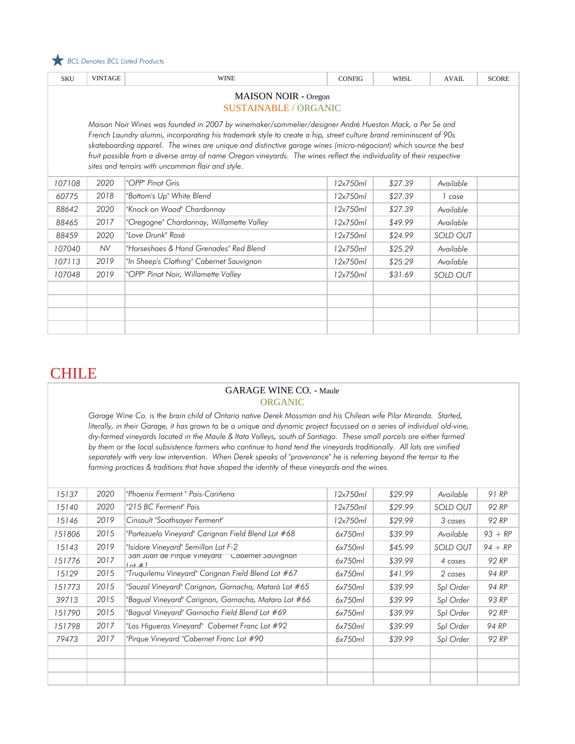

| <b>SKU</b>                  | <b>VINTAGE</b>               | <b>WINE</b>                                                                                                           | <b>CONFIG</b> | <b>WHSL</b> | <b>AVAIL</b> | <b>SCORE</b> |  |  |  |
|-----------------------------|------------------------------|-----------------------------------------------------------------------------------------------------------------------|---------------|-------------|--------------|--------------|--|--|--|
| <b>MAISON NOIR - Oregon</b> |                              |                                                                                                                       |               |             |              |              |  |  |  |
|                             | <b>SUSTAINABLE / ORGANIC</b> |                                                                                                                       |               |             |              |              |  |  |  |
|                             |                              | Maison Noir Wines was founded in 2007 by winemaker/sommelier/designer André Hueston Mack, a Per Se and                |               |             |              |              |  |  |  |
|                             |                              | French Laundry alumni, incorporating his trademark style to create a hip, street culture brand remininscent of 90s    |               |             |              |              |  |  |  |
|                             |                              | skateboarding apparel. The wines are unique and distinctive garage wines (micro-négociant) which source the best      |               |             |              |              |  |  |  |
|                             |                              | fruit possible from a diverse array of name Oregon vineyards. The wines reflect the individuality of their respective |               |             |              |              |  |  |  |
|                             |                              | sites and terroirs with uncommon flair and style.                                                                     |               |             |              |              |  |  |  |
| 107108                      | 2020                         | "OPP" Pinot Gris                                                                                                      | 12x750ml      | \$27.39     | Available    |              |  |  |  |
| 60775                       | 2018                         | "Bottom's Up" White Blend                                                                                             | 12x750ml      | \$27.39     | 1 case       |              |  |  |  |
| 88642                       | 2020                         | "Knock on Wood" Chardonnay                                                                                            | 12x750ml      | \$27.39     | Available    |              |  |  |  |
| 88465                       | 2017                         | "Oregogne" Chardonnay, Willamette Valley                                                                              | 12x750ml      | \$49.99     | Available    |              |  |  |  |
| 88459                       | 2020                         | "Love Drunk" Rosé                                                                                                     | 12x750ml      | \$24.99     | SOLD OUT     |              |  |  |  |
| 107040                      | <b>NV</b>                    | "Horseshoes & Hand Grenades" Red Blend                                                                                | 12x750ml      | \$25.29     | Available    |              |  |  |  |
| 107113                      | 2019                         | "In Sheep's Clothing" Cabernet Sauvignon                                                                              | 12x750ml      | \$25.29     | Available    |              |  |  |  |
| 107048                      | 2019                         | "OPP" Pinot Noir, Willamette Valley                                                                                   | 12x750ml      | \$31.69     | SOLD OUT     |              |  |  |  |
|                             |                              |                                                                                                                       |               |             |              |              |  |  |  |
|                             |                              |                                                                                                                       |               |             |              |              |  |  |  |
|                             |                              |                                                                                                                       |               |             |              |              |  |  |  |
|                             |                              |                                                                                                                       |               |             |              |              |  |  |  |

### **CHILE**

#### GARAGE WINE CO. - Maule ORGANIC

*Garage Wine Co. is the brain child of Ontario native Derek Mossman and his Chilean wife Pilar Miranda. Started,*  literally, in their Garage, it has grown to be a unique and dynamic project focussed on a series of individual old-vine, *dry-farmed vineyards located in the Maule & Itata Valleys, south of Santiago. These small parcels are either farmed by them or the local subsistence farmers who continue to hand tend the vineyards traditionally. All lots are vinified separately with very low intervention. When Derek speaks of "provenance" he is referring beyond the terroir to the farming practices & traditions that have shaped the identity of these vineyards and the wines.* 

| 15137  | 2020 | "Phoenix Ferment " Pais-Cariñena                                   | 12x750ml | \$29.99 | Available       | 91 RP     |
|--------|------|--------------------------------------------------------------------|----------|---------|-----------------|-----------|
| 15140  | 2020 | "215 BC Ferment" Pais                                              | 12x750ml | \$29.99 | <b>SOLD OUT</b> | 92 RP     |
| 15146  | 2019 | Cinsault "Soothsayer Ferment"                                      | 12x750ml | \$29.99 | 3 cases         | 92 RP     |
| 151806 | 2015 | "Portezuelo Vineyard" Carignan Field Blend Lot #68                 | 6x750ml  | \$39.99 | Available       | $93 + RP$ |
| 15143  | 2019 | "Isidore Vineyard" Semillon Lot F-2"                               | 6x750ml  | \$45.99 | SOLD OUT        | $94 + RP$ |
| 151776 | 2017 | san Juan de Firque vineyara<br>Caperner Sauvignon<br>$1$ of $\#$ 1 | 6x750ml  | \$39.99 | 4 cases         | 92 RP     |
| 15129  | 2015 | "Truguilemu Vineyard" Carignan Field Blend Lot #67                 | 6x750ml  | \$41.99 | 2 cases         | 94 RP     |
| 151773 | 2015 | "Sauzal Vineyard" Carignan, Garnacha, Mataró Lot #65               | 6x750ml  | \$39.99 | Spl Order       | 94 RP     |
| 39713  | 2015 | "Bagual Vineyard" Carignan, Garnacha, Mataro Lot #66               | 6x750ml  | \$39.99 | Spl Order       | 93 RP     |
| 151790 | 2015 | "Bagual Vineyard" Garnacha Field Blend Lot #69                     | 6x750ml  | \$39.99 | Spl Order       | 92 RP     |
| 151798 | 2017 | "Las Higueras Vineyard" Cabernet Franc Lot #92                     | 6x750ml  | \$39.99 | Spl Order       | 94 RP     |
| 79473  | 2017 | "Pirque Vineyard "Cabernet Franc Lot #90                           | 6x750ml  | \$39.99 | Spl Order       | 92 RP     |
|        |      |                                                                    |          |         |                 |           |
|        |      |                                                                    |          |         |                 |           |
|        |      |                                                                    |          |         |                 |           |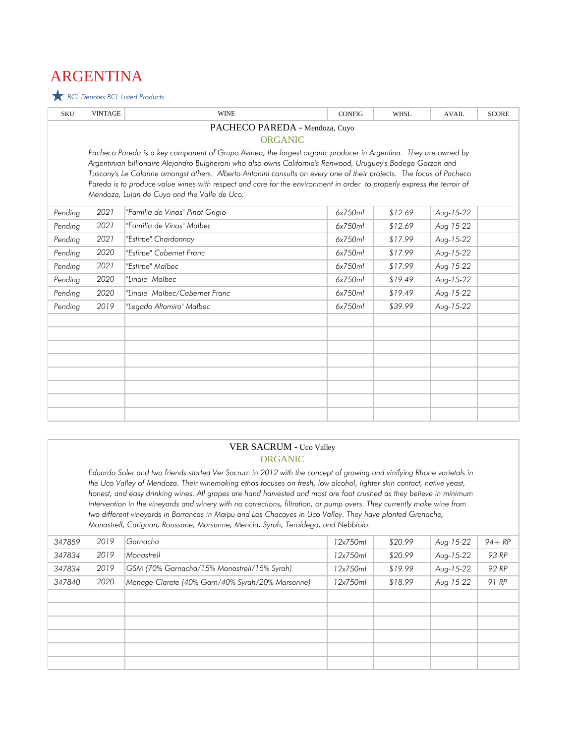# ARGENTINA

 *BCL Denotes BCL Listed Products*

| <b>SKU</b>                     | <b>VINTAGE</b> | <b>WINE</b>                                                                                                                                                                                                                                   | <b>CONFIG</b> | <b>WHSL</b> | <b>AVAIL</b> | <b>SCORE</b> |  |  |
|--------------------------------|----------------|-----------------------------------------------------------------------------------------------------------------------------------------------------------------------------------------------------------------------------------------------|---------------|-------------|--------------|--------------|--|--|
| PACHECO PAREDA - Mendoza, Cuyo |                |                                                                                                                                                                                                                                               |               |             |              |              |  |  |
| <b>ORGANIC</b>                 |                |                                                                                                                                                                                                                                               |               |             |              |              |  |  |
|                                |                | Pacheco Pareda is a key component of Grupo Avinea, the largest organic producer in Argentina. They are owned by                                                                                                                               |               |             |              |              |  |  |
|                                |                | Argentinian billionaire Alejandro Bulgheroni who also owns California's Renwood, Uruguay's Bodega Garzon and                                                                                                                                  |               |             |              |              |  |  |
|                                |                | Tuscany's Le Colonne amongst others. Alberto Antonini consults on every one of their projects. The focus of Pacheco<br>Pareda is to produce value wines with respect and care for the environment in order to properly express the terroir of |               |             |              |              |  |  |
|                                |                | Mendoza, Lujan de Cuyo and the Valle de Uco.                                                                                                                                                                                                  |               |             |              |              |  |  |
|                                |                |                                                                                                                                                                                                                                               |               |             |              |              |  |  |
| Pending                        | 2021           | "Familia de Vinos" Pinot Grigio                                                                                                                                                                                                               | 6x750ml       | \$12.69     | Aug-15-22    |              |  |  |
| Pending                        | 2021           | "Familia de Vinos" Malbec                                                                                                                                                                                                                     | 6x750ml       | \$12.69     | Aug-15-22    |              |  |  |
| Pending                        | 2021           | "Estirpe" Chardonnay                                                                                                                                                                                                                          | 6x750ml       | \$17.99     | Aug-15-22    |              |  |  |
| Pending                        | 2020           | "Estirpe" Cabernet Franc                                                                                                                                                                                                                      | 6x750ml       | \$17.99     | Aug-15-22    |              |  |  |
| Pending                        | 2021           | "Estirpe" Malbec                                                                                                                                                                                                                              | 6x750ml       | \$17.99     | Aug-15-22    |              |  |  |
| Pending                        | 2020           | "Linaje" Malbec                                                                                                                                                                                                                               | 6x750ml       | \$19.49     | Aug-15-22    |              |  |  |
| Pending                        | 2020           | "Linaje" Malbec/Cabernet Franc                                                                                                                                                                                                                | 6x750ml       | \$19.49     | Aug-15-22    |              |  |  |
| Pending                        | 2019           | "Legado Altamira" Malbec                                                                                                                                                                                                                      | 6x750ml       | \$39.99     | Aug-15-22    |              |  |  |
|                                |                |                                                                                                                                                                                                                                               |               |             |              |              |  |  |
|                                |                |                                                                                                                                                                                                                                               |               |             |              |              |  |  |
|                                |                |                                                                                                                                                                                                                                               |               |             |              |              |  |  |
|                                |                |                                                                                                                                                                                                                                               |               |             |              |              |  |  |
|                                |                |                                                                                                                                                                                                                                               |               |             |              |              |  |  |
|                                |                |                                                                                                                                                                                                                                               |               |             |              |              |  |  |
|                                |                |                                                                                                                                                                                                                                               |               |             |              |              |  |  |
|                                |                |                                                                                                                                                                                                                                               |               |             |              |              |  |  |

#### VER SACRUM - Uco Valley ORGANIC

*Eduardo Soler and two friends started Ver Sacrum in 2012 with the concept of growing and vinifying Rhone varietals in the Uco Valley of Mendoza. Their winemaking ethos focuses on fresh, low alcohol, lighter skin contact, native yeast, honest, and easy drinking wines. All grapes are hand harvested and most are foot crushed as they believe in minimum intervention in the vineyards and winery with no corrections, filtration, or pump overs. They currently make wine from two different vineyards in Barrancas in Maipu and Los Chacayes in Uco Valley. They have planted Grenache, Monastrell, Carignan, Roussane, Marsanne, Mencia, Syrah, Teroldego, and Nebbiolo.*

| 347859 | 2019 | Garnacha                                         | 12x750ml | \$20.99 | Aug-15-22 | $94 + RP$ |
|--------|------|--------------------------------------------------|----------|---------|-----------|-----------|
| 347834 | 2019 | Monastrell                                       | 12x750ml | \$20.99 | Aug-15-22 | 93 RP     |
| 347834 | 2019 | GSM (70% Garnacha/15% Monastrell/15% Syrah)      | 12x750ml | \$19.99 | Aug-15-22 | 92 RP     |
| 347840 | 2020 | Menage Clarete (40% Garn/40% Syrah/20% Marsanne) | 12x750ml | \$18.99 | Aug-15-22 | 91 RP     |
|        |      |                                                  |          |         |           |           |
|        |      |                                                  |          |         |           |           |
|        |      |                                                  |          |         |           |           |
|        |      |                                                  |          |         |           |           |
|        |      |                                                  |          |         |           |           |
|        |      |                                                  |          |         |           |           |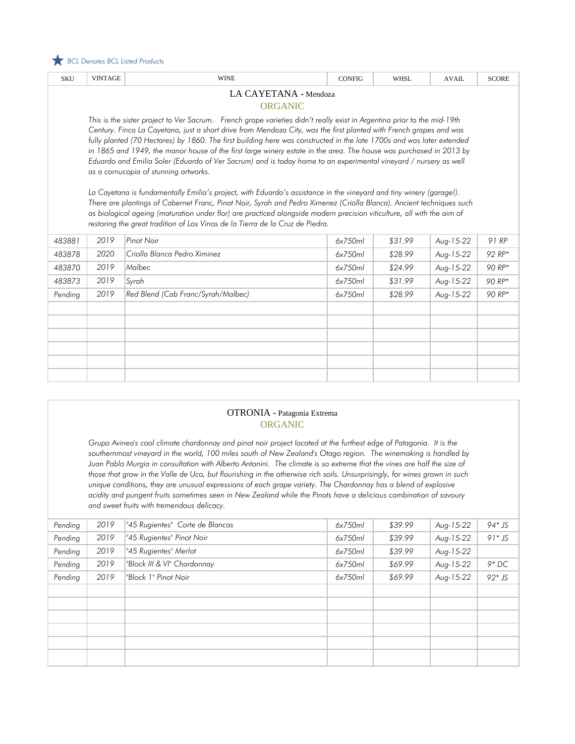

| <b>SKU</b>                              | <b>VINTAGE</b>                                                                                                                                                                                                                                                                                                                                                                                                                                                                                                                                                                                                                                                                                                                                                                                                                                                                                                                                                                                                                                                                                                      | <b>WINE</b>                        | <b>CONFIG</b> | <b>WHSL</b> | <b>AVAIL</b> | <b>SCORE</b> |  |  |  |
|-----------------------------------------|---------------------------------------------------------------------------------------------------------------------------------------------------------------------------------------------------------------------------------------------------------------------------------------------------------------------------------------------------------------------------------------------------------------------------------------------------------------------------------------------------------------------------------------------------------------------------------------------------------------------------------------------------------------------------------------------------------------------------------------------------------------------------------------------------------------------------------------------------------------------------------------------------------------------------------------------------------------------------------------------------------------------------------------------------------------------------------------------------------------------|------------------------------------|---------------|-------------|--------------|--------------|--|--|--|
| LA CAYETANA - Mendoza<br><b>ORGANIC</b> |                                                                                                                                                                                                                                                                                                                                                                                                                                                                                                                                                                                                                                                                                                                                                                                                                                                                                                                                                                                                                                                                                                                     |                                    |               |             |              |              |  |  |  |
|                                         | This is the sister project to Ver Sacrum. French grape varieties didn't really exist in Argentina prior to the mid-19th<br>Century. Finca La Cayetana, just a short drive from Mendoza City, was the first planted with French grapes and was<br>fully planted (70 Hectares) by 1860. The first building here was constructed in the late 1700s and was later extended<br>in 1865 and 1949, the manor house of the first large winery estate in the area. The house was purchased in 2013 by<br>Eduardo and Emilia Soler (Eduardo of Ver Sacrum) and is today home to an experimental vineyard / nursery as well<br>as a cornucopia of stunning artworks.<br>La Cayetana is fundamentally Emilia's project, with Eduardo's assistance in the vineyard and tiny winery (garage!).<br>There are plantings of Cabernet Franc, Pinot Noir, Syrah and Pedro Ximenez (Criolla Blanca). Ancient techniques such<br>as biological ageing (maturation under flor) are practiced alongside modern precision viticulture, all with the aim of<br>restoring the great tradition of Los Vinos de la Tierra de la Cruz de Piedra. |                                    |               |             |              |              |  |  |  |
| 483881                                  | 2019                                                                                                                                                                                                                                                                                                                                                                                                                                                                                                                                                                                                                                                                                                                                                                                                                                                                                                                                                                                                                                                                                                                | Pinot Noir                         | 6x750ml       | \$31.99     | Aug-15-22    | 91 RP        |  |  |  |
| 483878                                  | 2020                                                                                                                                                                                                                                                                                                                                                                                                                                                                                                                                                                                                                                                                                                                                                                                                                                                                                                                                                                                                                                                                                                                | Criolla Blanca Pedro Ximinez       | 6x750ml       | \$28.99     | Aug-15-22    | 92 RP*       |  |  |  |
| 483870                                  | 2019                                                                                                                                                                                                                                                                                                                                                                                                                                                                                                                                                                                                                                                                                                                                                                                                                                                                                                                                                                                                                                                                                                                | Malbec                             | 6x750ml       | \$24.99     | Aug-15-22    | 90 RP*       |  |  |  |
| 483873                                  | 2019                                                                                                                                                                                                                                                                                                                                                                                                                                                                                                                                                                                                                                                                                                                                                                                                                                                                                                                                                                                                                                                                                                                | Syrah                              | 6x750ml       | \$31.99     | Aug-15-22    | 90 RP*       |  |  |  |
| Pending                                 | 2019                                                                                                                                                                                                                                                                                                                                                                                                                                                                                                                                                                                                                                                                                                                                                                                                                                                                                                                                                                                                                                                                                                                | Red Blend (Cab Franc/Syrah/Malbec) | 6x750ml       | \$28.99     | Aug-15-22    | 90 RP*       |  |  |  |
|                                         |                                                                                                                                                                                                                                                                                                                                                                                                                                                                                                                                                                                                                                                                                                                                                                                                                                                                                                                                                                                                                                                                                                                     |                                    |               |             |              |              |  |  |  |
|                                         |                                                                                                                                                                                                                                                                                                                                                                                                                                                                                                                                                                                                                                                                                                                                                                                                                                                                                                                                                                                                                                                                                                                     |                                    |               |             |              |              |  |  |  |
|                                         |                                                                                                                                                                                                                                                                                                                                                                                                                                                                                                                                                                                                                                                                                                                                                                                                                                                                                                                                                                                                                                                                                                                     |                                    |               |             |              |              |  |  |  |
|                                         |                                                                                                                                                                                                                                                                                                                                                                                                                                                                                                                                                                                                                                                                                                                                                                                                                                                                                                                                                                                                                                                                                                                     |                                    |               |             |              |              |  |  |  |
|                                         |                                                                                                                                                                                                                                                                                                                                                                                                                                                                                                                                                                                                                                                                                                                                                                                                                                                                                                                                                                                                                                                                                                                     |                                    |               |             |              |              |  |  |  |
|                                         |                                                                                                                                                                                                                                                                                                                                                                                                                                                                                                                                                                                                                                                                                                                                                                                                                                                                                                                                                                                                                                                                                                                     |                                    |               |             |              |              |  |  |  |

#### OTRONIA - Patagonia Extrema ORGANIC

*Grupo Avinea's cool climate chardonnay and pinot noir project located at the furthest edge of Patagonia. It is the southernmost vineyard in the world, 100 miles south of New Zealand's Otago region. The winemaking is handled by Juan Pablo Murgia in consultation with Alberto Antonini. The climate is so extreme that the vines are half the size of those that grow in the Valle de Uco, but flourishing in the otherwise rich soils. Unsurprisingly, for wines grown in such unique conditions, they are unusual expressions of each grape variety. The Chardonnay has a blend of explosive acidity and pungent fruits sometimes seen in New Zealand while the Pinots have a delicious combination of savoury and sweet fruits with tremendous delicacy.* 

| Pending | 2019 | "45 Rugientes" Corte de Blancas | 6x750ml | \$39.99 | Aug-15-22 | $94*$ JS  |
|---------|------|---------------------------------|---------|---------|-----------|-----------|
| Pending | 2019 | "45 Rugientes" Pinot Noir       | 6x750ml | \$39.99 | Aug-15-22 | $91 * JS$ |
| Pending | 2019 | "45 Rugientes" Merlot           | 6x750ml | \$39.99 | Aug-15-22 |           |
| Pending | 2019 | "Block III & VI" Chardonnay     | 6x750ml | \$69.99 | Aug-15-22 | $9*DC$    |
| Pending | 2019 | "Block 1" Pinot Noir            | 6x750ml | \$69.99 | Aug-15-22 | $92*$ JS  |
|         |      |                                 |         |         |           |           |
|         |      |                                 |         |         |           |           |
|         |      |                                 |         |         |           |           |
|         |      |                                 |         |         |           |           |
|         |      |                                 |         |         |           |           |
|         |      |                                 |         |         |           |           |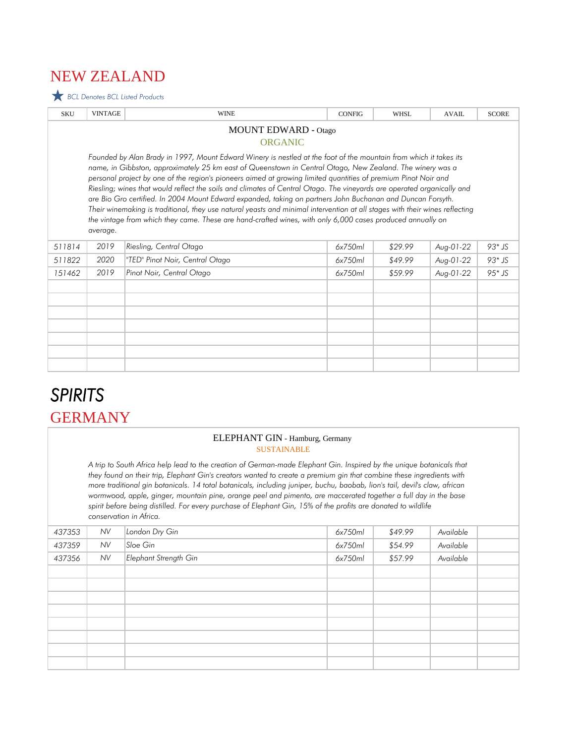# NEW ZEALAND

 *BCL Denotes BCL Listed Products*

| <b>VINTAGE</b>                                                                                                                                                                                                                                                                                                                                                                                                                                                                                                                                                                                                                                                                                                                                                                                                                                    | <b>WINE</b>                     | <b>CONFIG</b> | <b>WHSL</b> | <b>AVAIL</b> | <b>SCORE</b> |  |  |  |  |
|---------------------------------------------------------------------------------------------------------------------------------------------------------------------------------------------------------------------------------------------------------------------------------------------------------------------------------------------------------------------------------------------------------------------------------------------------------------------------------------------------------------------------------------------------------------------------------------------------------------------------------------------------------------------------------------------------------------------------------------------------------------------------------------------------------------------------------------------------|---------------------------------|---------------|-------------|--------------|--------------|--|--|--|--|
| <b>MOUNT EDWARD - Otago</b><br><b>ORGANIC</b>                                                                                                                                                                                                                                                                                                                                                                                                                                                                                                                                                                                                                                                                                                                                                                                                     |                                 |               |             |              |              |  |  |  |  |
| Founded by Alan Brady in 1997, Mount Edward Winery is nestled at the foot of the mountain from which it takes its<br>name, in Gibbston, approximately 25 km east of Queenstown in Central Otago, New Zealand. The winery was a<br>personal project by one of the region's pioneers aimed at growing limited quantities of premium Pinot Noir and<br>Riesling; wines that would reflect the soils and climates of Central Otago. The vineyards are operated organically and<br>are Bio Gro certified. In 2004 Mount Edward expanded, taking on partners John Buchanan and Duncan Forsyth.<br>Their winemaking is traditional, they use natural yeasts and minimal intervention at all stages with their wines reflecting<br>the vintage from which they came. These are hand-crafted wines, with only 6,000 cases produced annually on<br>average. |                                 |               |             |              |              |  |  |  |  |
| 2019                                                                                                                                                                                                                                                                                                                                                                                                                                                                                                                                                                                                                                                                                                                                                                                                                                              | Riesling, Central Otago         | 6x750ml       | \$29.99     | Aug-01-22    | $93*$ JS     |  |  |  |  |
| 2020                                                                                                                                                                                                                                                                                                                                                                                                                                                                                                                                                                                                                                                                                                                                                                                                                                              | "TED" Pinot Noir, Central Otago | 6x750ml       | \$49.99     | Aug-01-22    | $93*$ JS     |  |  |  |  |
| 2019                                                                                                                                                                                                                                                                                                                                                                                                                                                                                                                                                                                                                                                                                                                                                                                                                                              | Pinot Noir, Central Otago       | 6x750ml       | \$59.99     | Aug-01-22    | $95*$ JS     |  |  |  |  |
|                                                                                                                                                                                                                                                                                                                                                                                                                                                                                                                                                                                                                                                                                                                                                                                                                                                   |                                 |               |             |              |              |  |  |  |  |
|                                                                                                                                                                                                                                                                                                                                                                                                                                                                                                                                                                                                                                                                                                                                                                                                                                                   |                                 |               |             |              |              |  |  |  |  |
|                                                                                                                                                                                                                                                                                                                                                                                                                                                                                                                                                                                                                                                                                                                                                                                                                                                   |                                 |               |             |              |              |  |  |  |  |

# GERMANY *SPIRITS*

#### ELEPHANT GIN - Hamburg, Germany SUSTAINABLE

*A trip to South Africa help lead to the creation of German-made Elephant Gin. Inspired by the unique botanicals that they found on their trip, Elephant Gin's creators wanted to create a premium gin that combine these ingredients with more traditional gin botanicals. 14 total botanicals, including juniper, buchu, baobab, lion's tail, devil's claw, african wormwood, apple, ginger, mountain pine, orange peel and pimento, are maccerated together a full day in the base spirit before being distilled. For every purchase of Elephant Gin, 15% of the profits are donated to wildlife conservation in Africa.*

| 437353 | <b>NV</b> | London Dry Gin        | 6x750ml | \$49.99 | Available |  |
|--------|-----------|-----------------------|---------|---------|-----------|--|
| 437359 | <b>NV</b> | Sloe Gin              | 6x750ml | \$54.99 | Available |  |
| 437356 | <b>NV</b> | Elephant Strength Gin | 6x750ml | \$57.99 | Available |  |
|        |           |                       |         |         |           |  |
|        |           |                       |         |         |           |  |
|        |           |                       |         |         |           |  |
|        |           |                       |         |         |           |  |
|        |           |                       |         |         |           |  |
|        |           |                       |         |         |           |  |
|        |           |                       |         |         |           |  |
|        |           |                       |         |         |           |  |